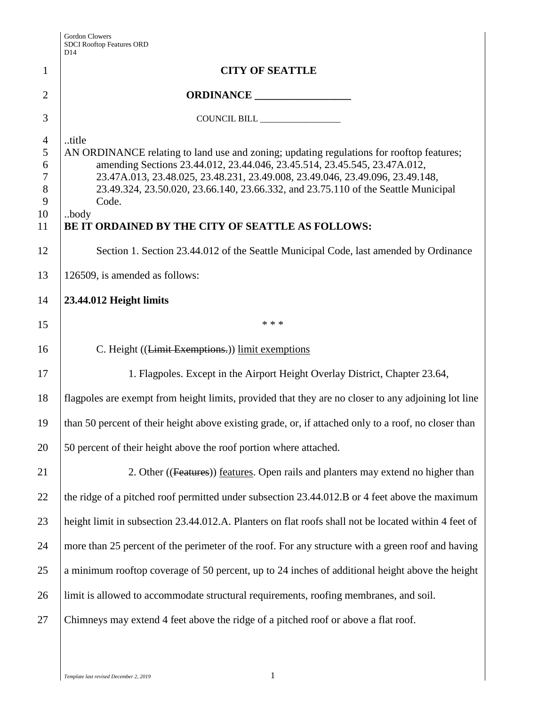| <b>Gordon Clowers</b>            |
|----------------------------------|
| <b>SDCI Rooftop Features ORD</b> |
| $\overline{D14}$                 |

|                 | <b>SDCI Rooftop Features ORD</b><br>D <sub>14</sub>                                                                                                                 |
|-----------------|---------------------------------------------------------------------------------------------------------------------------------------------------------------------|
| $\mathbf{1}$    | <b>CITY OF SEATTLE</b>                                                                                                                                              |
| $\overline{2}$  | ORDINANCE                                                                                                                                                           |
| 3               |                                                                                                                                                                     |
| $\overline{4}$  | title                                                                                                                                                               |
| 5               | AN ORDINANCE relating to land use and zoning; updating regulations for rooftop features;                                                                            |
| 6               | amending Sections 23.44.012, 23.44.046, 23.45.514, 23.45.545, 23.47A.012,                                                                                           |
| $\tau$<br>$8\,$ | 23.47A.013, 23.48.025, 23.48.231, 23.49.008, 23.49.046, 23.49.096, 23.49.148,<br>23.49.324, 23.50.020, 23.66.140, 23.66.332, and 23.75.110 of the Seattle Municipal |
| 9               | Code.                                                                                                                                                               |
| 10              | .body                                                                                                                                                               |
| 11              | BE IT ORDAINED BY THE CITY OF SEATTLE AS FOLLOWS:                                                                                                                   |
| 12              | Section 1. Section 23.44.012 of the Seattle Municipal Code, last amended by Ordinance                                                                               |
| 13              | 126509, is amended as follows:                                                                                                                                      |
| 14              | 23.44.012 Height limits                                                                                                                                             |
| 15              | * * *                                                                                                                                                               |
| 16              | C. Height ((Limit Exemptions.)) limit exemptions                                                                                                                    |
| 17              | 1. Flagpoles. Except in the Airport Height Overlay District, Chapter 23.64,                                                                                         |
| 18              | flagpoles are exempt from height limits, provided that they are no closer to any adjoining lot line                                                                 |
| 19              | than 50 percent of their height above existing grade, or, if attached only to a roof, no closer than                                                                |
| 20              | 50 percent of their height above the roof portion where attached.                                                                                                   |
| 21              | 2. Other ((Features)) features. Open rails and planters may extend no higher than                                                                                   |
| 22              | the ridge of a pitched roof permitted under subsection 23.44.012.B or 4 feet above the maximum                                                                      |
| 23              | height limit in subsection 23.44.012.A. Planters on flat roofs shall not be located within 4 feet of                                                                |
| 24              | more than 25 percent of the perimeter of the roof. For any structure with a green roof and having                                                                   |
| 25              | a minimum rooftop coverage of 50 percent, up to 24 inches of additional height above the height                                                                     |
| 26              | limit is allowed to accommodate structural requirements, roofing membranes, and soil.                                                                               |
| 27              | Chimneys may extend 4 feet above the ridge of a pitched roof or above a flat roof.                                                                                  |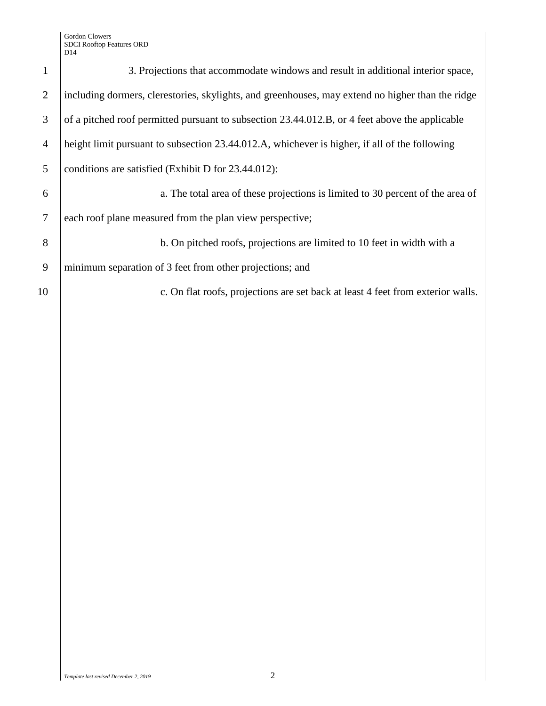|                | 3. Projections that accommodate windows and result in additional interior space,                 |
|----------------|--------------------------------------------------------------------------------------------------|
| 2              | including dormers, clerestories, skylights, and greenhouses, may extend no higher than the ridge |
| 3              | of a pitched roof permitted pursuant to subsection 23.44.012.B, or 4 feet above the applicable   |
| $\overline{4}$ | height limit pursuant to subsection 23.44.012.A, whichever is higher, if all of the following    |
| 5              | conditions are satisfied (Exhibit D for 23.44.012):                                              |
| 6              | a. The total area of these projections is limited to 30 percent of the area of                   |
| 7              | each roof plane measured from the plan view perspective;                                         |
| 8              | b. On pitched roofs, projections are limited to 10 feet in width with a                          |
| 9              | minimum separation of 3 feet from other projections; and                                         |
| 10             | c. On flat roofs, projections are set back at least 4 feet from exterior walls.                  |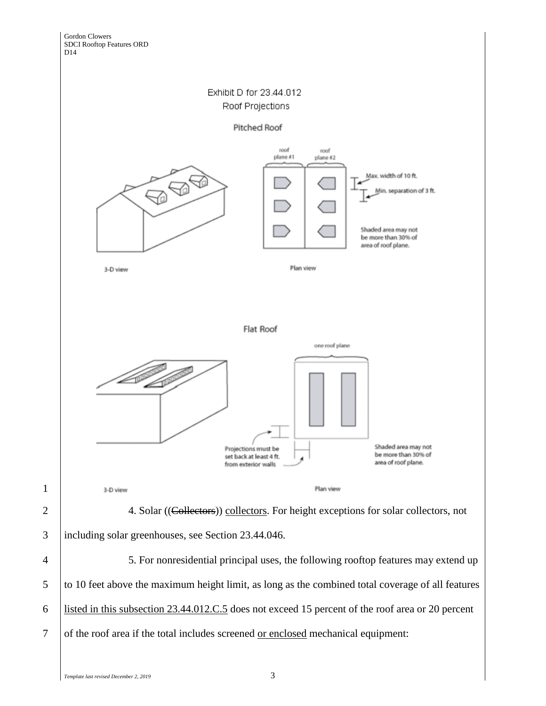

Pitched Roof



4 5. For nonresidential principal uses, the following rooftop features may extend up 5 to 10 feet above the maximum height limit, as long as the combined total coverage of all features 6 listed in this subsection 23.44.012.C.5 does not exceed 15 percent of the roof area or 20 percent 7 of the roof area if the total includes screened <u>or enclosed</u> mechanical equipment:

1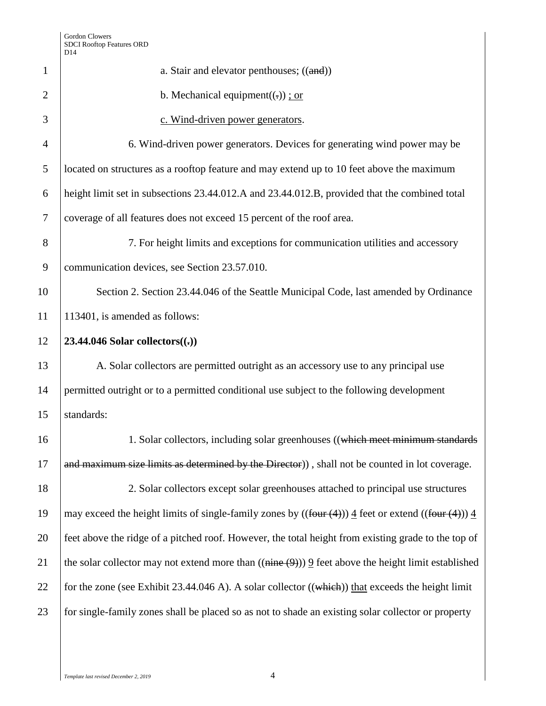| $\mathbf{1}$   | a. Stair and elevator penthouses; ((and))                                                                                     |
|----------------|-------------------------------------------------------------------------------------------------------------------------------|
| $\overline{2}$ | b. Mechanical equipment( $(.)$ ) ; or                                                                                         |
| 3              | c. Wind-driven power generators.                                                                                              |
| $\overline{4}$ | 6. Wind-driven power generators. Devices for generating wind power may be                                                     |
| 5              | located on structures as a rooftop feature and may extend up to 10 feet above the maximum                                     |
| 6              | height limit set in subsections 23.44.012.A and 23.44.012.B, provided that the combined total                                 |
| 7              | coverage of all features does not exceed 15 percent of the roof area.                                                         |
| 8              | 7. For height limits and exceptions for communication utilities and accessory                                                 |
| 9              | communication devices, see Section 23.57.010.                                                                                 |
| 10             | Section 2. Section 23.44.046 of the Seattle Municipal Code, last amended by Ordinance                                         |
| 11             | 113401, is amended as follows:                                                                                                |
| 12             | 23.44.046 Solar collectors $((.)$                                                                                             |
| 13             | A. Solar collectors are permitted outright as an accessory use to any principal use                                           |
| 14             | permitted outright or to a permitted conditional use subject to the following development                                     |
| 15             | standards:                                                                                                                    |
| 16             | 1. Solar collectors, including solar greenhouses ((which meet minimum standards)                                              |
| 17             | and maximum size limits as determined by the Director)), shall not be counted in lot coverage.                                |
| 18             | 2. Solar collectors except solar greenhouses attached to principal use structures                                             |
| 19             | may exceed the height limits of single-family zones by $((four(4))) \underline{4}$ feet or extend $((four(4))) \underline{4}$ |
| 20             | feet above the ridge of a pitched roof. However, the total height from existing grade to the top of                           |
| 21             | the solar collector may not extend more than $((\overline{nine(9)}))$ 9 feet above the height limit established               |
| 22             | for the zone (see Exhibit 23.44.046 A). A solar collector $((which))$ that exceeds the height limit                           |
| 23             | for single-family zones shall be placed so as not to shade an existing solar collector or property                            |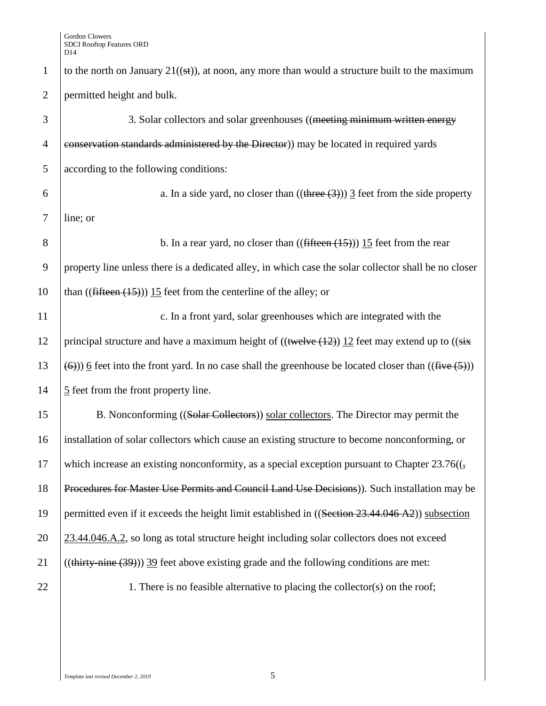| $\mathbf{1}$   | to the north on January $21((s+))$ , at noon, any more than would a structure built to the maximum                                    |
|----------------|---------------------------------------------------------------------------------------------------------------------------------------|
| $\overline{2}$ | permitted height and bulk.                                                                                                            |
| 3              | 3. Solar collectors and solar greenhouses ((meeting minimum written energy                                                            |
| $\overline{4}$ | conservation standards administered by the Director) may be located in required yards                                                 |
| 5              | according to the following conditions:                                                                                                |
| 6              | a. In a side yard, no closer than $((\text{three} (3)))$ $\overline{3}$ feet from the side property                                   |
| $\overline{7}$ | line; or                                                                                                                              |
| 8              | b. In a rear yard, no closer than $((fifteen (15)))$ 15 feet from the rear                                                            |
| 9              | property line unless there is a dedicated alley, in which case the solar collector shall be no closer                                 |
| 10             | than $((\text{fifteen } (15)))$ 15 feet from the centerline of the alley; or                                                          |
| 11             | c. In a front yard, solar greenhouses which are integrated with the                                                                   |
| 12             | principal structure and have a maximum height of $((\text{twelve} (12)) 12)$ feet may extend up to $((\text{six}$                     |
| 13             | $\left(\frac{6}{2}\right)$ ) 6 feet into the front yard. In no case shall the greenhouse be located closer than $((\text{five (5)}))$ |
| 14             | $\frac{5}{5}$ feet from the front property line.                                                                                      |
| 15             | B. Nonconforming ((Solar Collectors)) solar collectors. The Director may permit the                                                   |
| 16             | installation of solar collectors which cause an existing structure to become nonconforming, or                                        |
| 17             | which increase an existing nonconformity, as a special exception pursuant to Chapter 23.76( $\mathcal{F}_{\mathcal{L}}$               |
| 18             | Procedures for Master Use Permits and Council Land Use Decisions)). Such installation may be                                          |
| 19             | permitted even if it exceeds the height limit established in ((Section 23.44.046 A2)) subsection                                      |
| 20             | 23.44.046.A.2, so long as total structure height including solar collectors does not exceed                                           |
| 21             | $((thirty - nine (39)))$ 39 feet above existing grade and the following conditions are met:                                           |
| 22             | 1. There is no feasible alternative to placing the collector(s) on the roof;                                                          |
|                |                                                                                                                                       |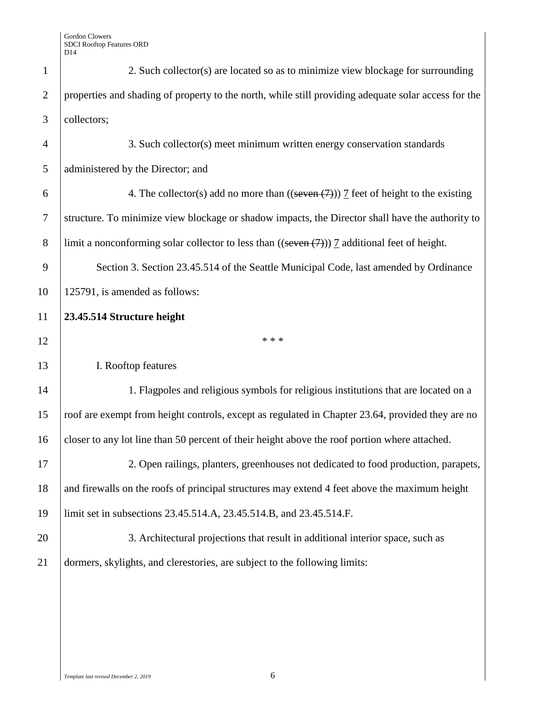| $\mathbf{1}$     | 2. Such collector(s) are located so as to minimize view blockage for surrounding                         |
|------------------|----------------------------------------------------------------------------------------------------------|
| $\mathbf{2}$     | properties and shading of property to the north, while still providing adequate solar access for the     |
| 3                | collectors;                                                                                              |
| $\overline{4}$   | 3. Such collector(s) meet minimum written energy conservation standards                                  |
| 5                | administered by the Director; and                                                                        |
| 6                | 4. The collector(s) add no more than $((\text{seven}(7)))$ $\overline{1}$ feet of height to the existing |
| $\boldsymbol{7}$ | structure. To minimize view blockage or shadow impacts, the Director shall have the authority to         |
| 8                | limit a nonconforming solar collector to less than $((\text{seven}(\tau)))$ 7 additional feet of height. |
| 9                | Section 3. Section 23.45.514 of the Seattle Municipal Code, last amended by Ordinance                    |
| 10               | 125791, is amended as follows:                                                                           |
| 11               | 23.45.514 Structure height                                                                               |
|                  |                                                                                                          |
| 12               | * * *                                                                                                    |
| 13               | I. Rooftop features                                                                                      |
| 14               | 1. Flagpoles and religious symbols for religious institutions that are located on a                      |
| 15               | roof are exempt from height controls, except as regulated in Chapter 23.64, provided they are no         |
| 16               | closer to any lot line than 50 percent of their height above the roof portion where attached.            |
| $17\,$           | 2. Open railings, planters, greenhouses not dedicated to food production, parapets,                      |
| 18               | and firewalls on the roofs of principal structures may extend 4 feet above the maximum height            |
| 19               | limit set in subsections 23.45.514.A, 23.45.514.B, and 23.45.514.F.                                      |
| 20               | 3. Architectural projections that result in additional interior space, such as                           |
| 21               | dormers, skylights, and clerestories, are subject to the following limits:                               |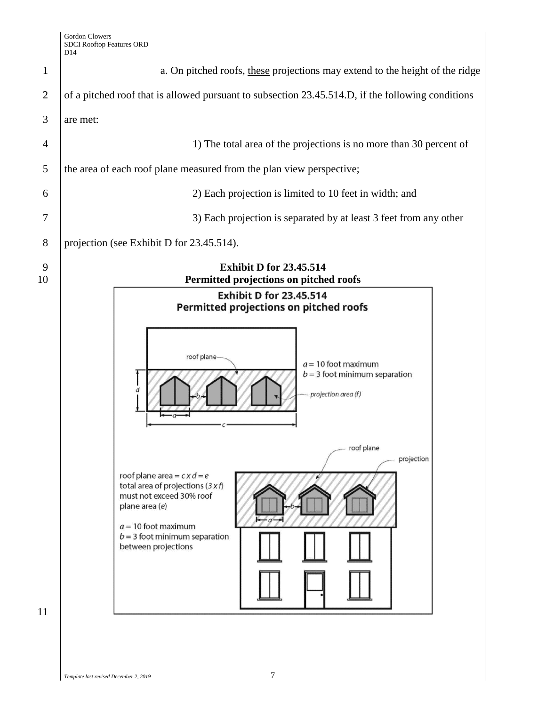| $\mathbf{1}$<br>of a pitched roof that is allowed pursuant to subsection 23.45.514.D, if the following conditions<br>$\overline{2}$<br>3<br>are met:<br>1) The total area of the projections is no more than 30 percent of<br>$\overline{4}$<br>the area of each roof plane measured from the plan view perspective;<br>5<br>2) Each projection is limited to 10 feet in width; and<br>6<br>3) Each projection is separated by at least 3 feet from any other<br>7<br>projection (see Exhibit D for 23.45.514).<br>8<br><b>Exhibit D for 23.45.514</b><br>9<br>Permitted projections on pitched roofs<br><b>Exhibit D for 23.45.514</b><br>Permitted projections on pitched roofs<br>roof plane-<br>$a = 10$ foot maximum<br>$b = 3$ foot minimum separation<br>projection area (f)<br>__ roof plane<br>projection<br>roof plane area = $cx$ $d = e$<br>total area of projections $(3 x f)$<br>must not exceed 30% roof<br>plane area (e)<br>$a = 10$ foot maximum<br>$b = 3$ foot minimum separation<br>between projections |    | D14                                                                          |
|------------------------------------------------------------------------------------------------------------------------------------------------------------------------------------------------------------------------------------------------------------------------------------------------------------------------------------------------------------------------------------------------------------------------------------------------------------------------------------------------------------------------------------------------------------------------------------------------------------------------------------------------------------------------------------------------------------------------------------------------------------------------------------------------------------------------------------------------------------------------------------------------------------------------------------------------------------------------------------------------------------------------------|----|------------------------------------------------------------------------------|
|                                                                                                                                                                                                                                                                                                                                                                                                                                                                                                                                                                                                                                                                                                                                                                                                                                                                                                                                                                                                                              |    | a. On pitched roofs, these projections may extend to the height of the ridge |
|                                                                                                                                                                                                                                                                                                                                                                                                                                                                                                                                                                                                                                                                                                                                                                                                                                                                                                                                                                                                                              |    |                                                                              |
|                                                                                                                                                                                                                                                                                                                                                                                                                                                                                                                                                                                                                                                                                                                                                                                                                                                                                                                                                                                                                              |    |                                                                              |
|                                                                                                                                                                                                                                                                                                                                                                                                                                                                                                                                                                                                                                                                                                                                                                                                                                                                                                                                                                                                                              |    |                                                                              |
|                                                                                                                                                                                                                                                                                                                                                                                                                                                                                                                                                                                                                                                                                                                                                                                                                                                                                                                                                                                                                              |    |                                                                              |
|                                                                                                                                                                                                                                                                                                                                                                                                                                                                                                                                                                                                                                                                                                                                                                                                                                                                                                                                                                                                                              |    |                                                                              |
|                                                                                                                                                                                                                                                                                                                                                                                                                                                                                                                                                                                                                                                                                                                                                                                                                                                                                                                                                                                                                              |    |                                                                              |
|                                                                                                                                                                                                                                                                                                                                                                                                                                                                                                                                                                                                                                                                                                                                                                                                                                                                                                                                                                                                                              |    |                                                                              |
|                                                                                                                                                                                                                                                                                                                                                                                                                                                                                                                                                                                                                                                                                                                                                                                                                                                                                                                                                                                                                              | 10 |                                                                              |
|                                                                                                                                                                                                                                                                                                                                                                                                                                                                                                                                                                                                                                                                                                                                                                                                                                                                                                                                                                                                                              | 11 |                                                                              |
|                                                                                                                                                                                                                                                                                                                                                                                                                                                                                                                                                                                                                                                                                                                                                                                                                                                                                                                                                                                                                              |    |                                                                              |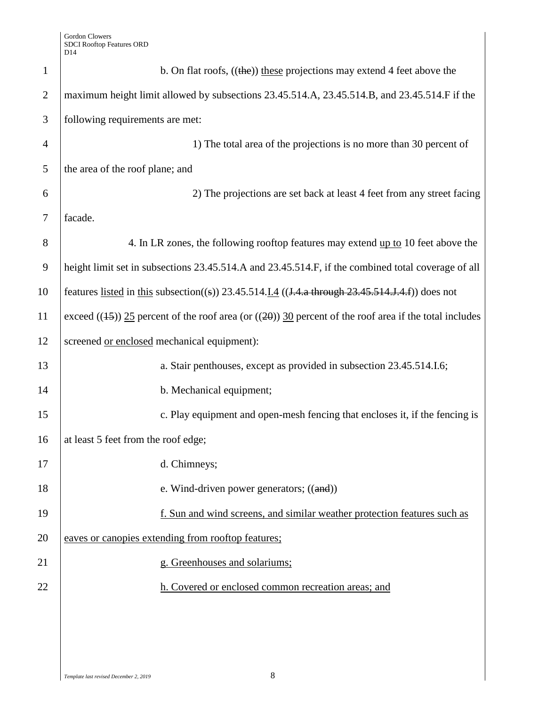| $\mathbf{1}$   | b. On flat roofs, $((the))$ these projections may extend 4 feet above the                                         |
|----------------|-------------------------------------------------------------------------------------------------------------------|
| $\overline{2}$ | maximum height limit allowed by subsections 23.45.514.A, 23.45.514.B, and 23.45.514.F if the                      |
| 3              | following requirements are met:                                                                                   |
| $\overline{4}$ | 1) The total area of the projections is no more than 30 percent of                                                |
| 5              | the area of the roof plane; and                                                                                   |
| 6              | 2) The projections are set back at least 4 feet from any street facing                                            |
| 7              | facade.                                                                                                           |
| 8              | 4. In LR zones, the following rooftop features may extend up to 10 feet above the                                 |
| 9              | height limit set in subsections 23.45.514.A and 23.45.514.F, if the combined total coverage of all                |
| 10             | features listed in this subsection((s)) 23.45.514. <i>I.4</i> (( <i>J.4.a through 23.45.514.J.4.f</i> )) does not |
| 11             | exceed $((15))$ 25 percent of the roof area (or $((20))$ 30 percent of the roof area if the total includes        |
| 12             | screened or enclosed mechanical equipment):                                                                       |
| 13             | a. Stair penthouses, except as provided in subsection 23.45.514.I.6;                                              |
| 14             | b. Mechanical equipment;                                                                                          |
| 15             | c. Play equipment and open-mesh fencing that encloses it, if the fencing is                                       |
| 16             | at least 5 feet from the roof edge;                                                                               |
| 17             | d. Chimneys;                                                                                                      |
| 18             | e. Wind-driven power generators; $((and))$                                                                        |
| 19             | f. Sun and wind screens, and similar weather protection features such as                                          |
| 20             | eaves or canopies extending from rooftop features;                                                                |
| 21             | g. Greenhouses and solariums;                                                                                     |
| 22             | h. Covered or enclosed common recreation areas; and                                                               |
|                |                                                                                                                   |
|                |                                                                                                                   |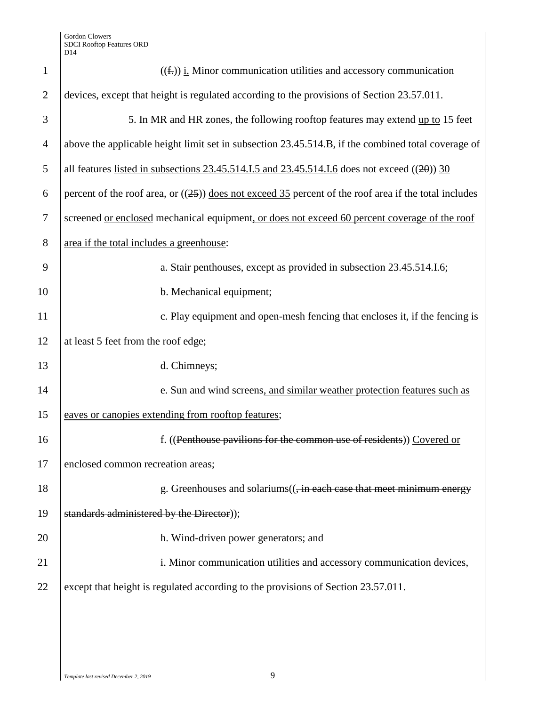| $\mathbf{1}$   | $((\text{f.}))$ i. Minor communication utilities and accessory communication                            |
|----------------|---------------------------------------------------------------------------------------------------------|
| $\overline{2}$ | devices, except that height is regulated according to the provisions of Section 23.57.011.              |
| 3              | 5. In MR and HR zones, the following rooftop features may extend up to 15 feet                          |
| $\overline{4}$ | above the applicable height limit set in subsection 23.45.514.B, if the combined total coverage of      |
| 5              | all features listed in subsections $23.45.514.1.5$ and $23.45.514.1.6$ does not exceed (( $20$ )) $30$  |
| 6              | percent of the roof area, or $((25))$ does not exceed 35 percent of the roof area if the total includes |
| 7              | screened <u>or enclosed</u> mechanical equipment, or does not exceed 60 percent coverage of the roof    |
| 8              | area if the total includes a greenhouse:                                                                |
| 9              | a. Stair penthouses, except as provided in subsection 23.45.514.I.6;                                    |
| 10             | b. Mechanical equipment;                                                                                |
| 11             | c. Play equipment and open-mesh fencing that encloses it, if the fencing is                             |
| 12             | at least 5 feet from the roof edge;                                                                     |
| 13             | d. Chimneys;                                                                                            |
| 14             | e. Sun and wind screens, and similar weather protection features such as                                |
| 15             | eaves or canopies extending from rooftop features;                                                      |
| 16             | f. ((Penthouse pavilions for the common use of residents)) Covered or                                   |
| 17             | enclosed common recreation areas;                                                                       |
| 18             | g. Greenhouses and solariums(( <del>, in each case that meet minimum energy</del>                       |
| 19             | standards administered by the Director));                                                               |
| 20             | h. Wind-driven power generators; and                                                                    |
| 21             | i. Minor communication utilities and accessory communication devices,                                   |
| 22             | except that height is regulated according to the provisions of Section 23.57.011.                       |
|                |                                                                                                         |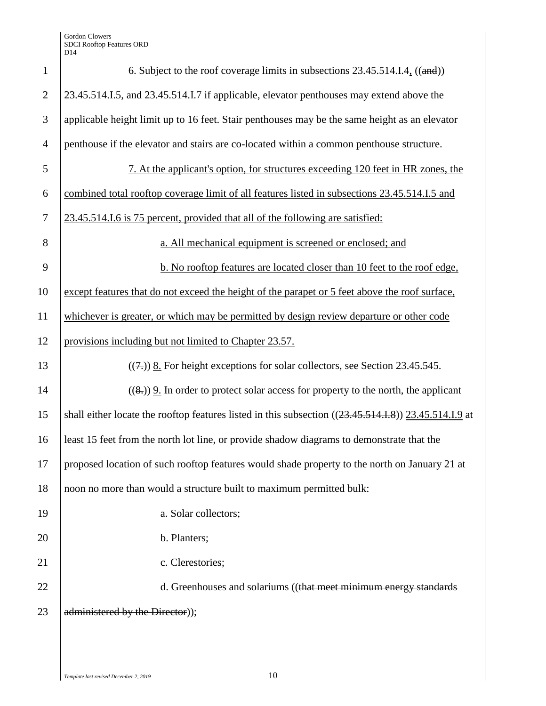| $\mathbf{1}$   | 6. Subject to the roof coverage limits in subsections $23.45.514.I.4$ <sub>1</sub> ((and))            |
|----------------|-------------------------------------------------------------------------------------------------------|
| $\overline{2}$ | 23.45.514.I.5, and 23.45.514.I.7 if applicable, elevator penthouses may extend above the              |
| 3              | applicable height limit up to 16 feet. Stair penthouses may be the same height as an elevator         |
| $\overline{4}$ | penthouse if the elevator and stairs are co-located within a common penthouse structure.              |
| 5              | 7. At the applicant's option, for structures exceeding 120 feet in HR zones, the                      |
| 6              | combined total rooftop coverage limit of all features listed in subsections 23.45.514.1.5 and         |
| $\tau$         | 23.45.514.1.6 is 75 percent, provided that all of the following are satisfied:                        |
| 8              | a. All mechanical equipment is screened or enclosed; and                                              |
| 9              | b. No rooftop features are located closer than 10 feet to the roof edge.                              |
| 10             | except features that do not exceed the height of the parapet or 5 feet above the roof surface,        |
| 11             | whichever is greater, or which may be permitted by design review departure or other code              |
| 12             | provisions including but not limited to Chapter 23.57.                                                |
| 13             | $((7))$ 8. For height exceptions for solar collectors, see Section 23.45.545.                         |
| 14             | $((8,))$ 9. In order to protect solar access for property to the north, the applicant                 |
| 15             | shall either locate the rooftop features listed in this subsection ((23.45.514.I.8)) 23.45.514.I.9 at |
| 16             | least 15 feet from the north lot line, or provide shadow diagrams to demonstrate that the             |
| 17             | proposed location of such rooftop features would shade property to the north on January 21 at         |
| 18             | noon no more than would a structure built to maximum permitted bulk:                                  |
| 19             | a. Solar collectors;                                                                                  |
| 20             | b. Planters;                                                                                          |
| 21             | c. Clerestories;                                                                                      |
| 22             | d. Greenhouses and solariums ((that meet minimum energy standards)                                    |
| 23             | administered by the Director));                                                                       |
|                |                                                                                                       |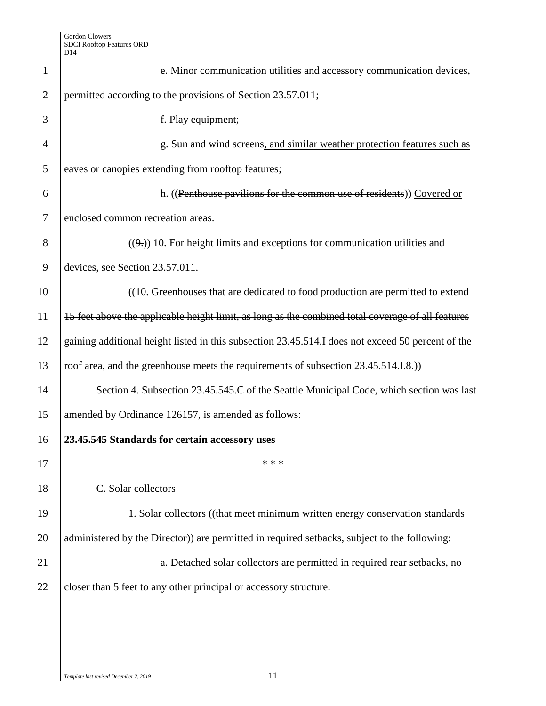| $\mathbf{1}$   | e. Minor communication utilities and accessory communication devices,                             |
|----------------|---------------------------------------------------------------------------------------------------|
| $\overline{2}$ | permitted according to the provisions of Section 23.57.011;                                       |
| 3              | f. Play equipment;                                                                                |
| 4              | g. Sun and wind screens, and similar weather protection features such as                          |
| 5              | eaves or canopies extending from rooftop features;                                                |
| 6              | h. ((Penthouse pavilions for the common use of residents)) Covered or                             |
| 7              | enclosed common recreation areas.                                                                 |
| 8              | $((9))$ 10. For height limits and exceptions for communication utilities and                      |
| 9              | devices, see Section 23.57.011.                                                                   |
| 10             | ((10. Greenhouses that are dedicated to food production are permitted to extend                   |
| 11             | 15 feet above the applicable height limit, as long as the combined total coverage of all features |
| 12             | gaining additional height listed in this subsection 23.45.514.I does not exceed 50 percent of the |
| 13             | roof area, and the greenhouse meets the requirements of subsection 23.45.514.I.8.)                |
| 14             | Section 4. Subsection 23.45.545.C of the Seattle Municipal Code, which section was last           |
| 15             | amended by Ordinance 126157, is amended as follows:                                               |
| 16             | 23.45.545 Standards for certain accessory uses                                                    |
| 17             | * * *                                                                                             |
| 18             | C. Solar collectors                                                                               |
| 19             | 1. Solar collectors ((that meet minimum written energy conservation standards                     |
| 20             | administered by the Director)) are permitted in required setbacks, subject to the following:      |
| 21             | a. Detached solar collectors are permitted in required rear setbacks, no                          |
| 22             | closer than 5 feet to any other principal or accessory structure.                                 |
|                |                                                                                                   |
|                |                                                                                                   |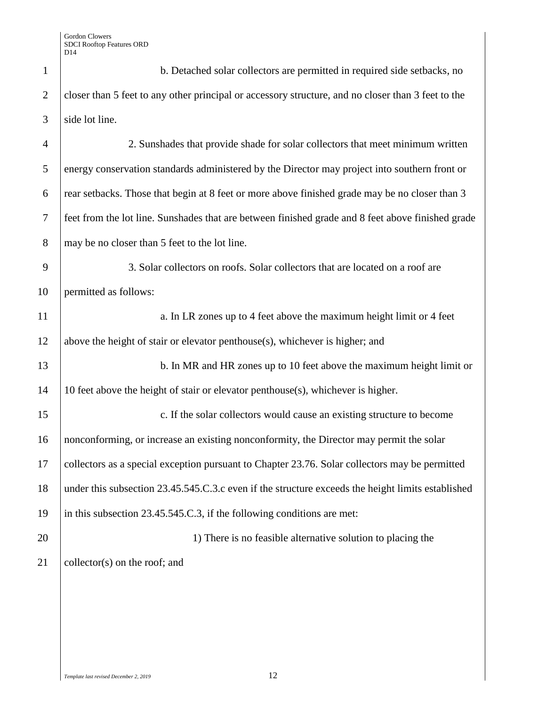| $\mathbf{1}$   | b. Detached solar collectors are permitted in required side setbacks, no                           |
|----------------|----------------------------------------------------------------------------------------------------|
| $\overline{2}$ | closer than 5 feet to any other principal or accessory structure, and no closer than 3 feet to the |
| 3              | side lot line.                                                                                     |
| $\overline{4}$ | 2. Sunshades that provide shade for solar collectors that meet minimum written                     |
| 5              | energy conservation standards administered by the Director may project into southern front or      |
| 6              | rear setbacks. Those that begin at 8 feet or more above finished grade may be no closer than 3     |
| $\overline{7}$ | feet from the lot line. Sunshades that are between finished grade and 8 feet above finished grade  |
| 8              | may be no closer than 5 feet to the lot line.                                                      |
| 9              | 3. Solar collectors on roofs. Solar collectors that are located on a roof are                      |
| 10             | permitted as follows:                                                                              |
| 11             | a. In LR zones up to 4 feet above the maximum height limit or 4 feet                               |
| 12             | above the height of stair or elevator penthouse(s), whichever is higher; and                       |
| 13             | b. In MR and HR zones up to 10 feet above the maximum height limit or                              |
| 14             | 10 feet above the height of stair or elevator penthouse(s), whichever is higher.                   |
| 15             | c. If the solar collectors would cause an existing structure to become                             |
| 16             | nonconforming, or increase an existing nonconformity, the Director may permit the solar            |
| 17             | collectors as a special exception pursuant to Chapter 23.76. Solar collectors may be permitted     |
| 18             | under this subsection 23.45.545.C.3.c even if the structure exceeds the height limits established  |
| 19             | in this subsection 23.45.545.C.3, if the following conditions are met:                             |
| 20             | 1) There is no feasible alternative solution to placing the                                        |
| 21             | collector(s) on the roof; and                                                                      |
|                |                                                                                                    |
|                |                                                                                                    |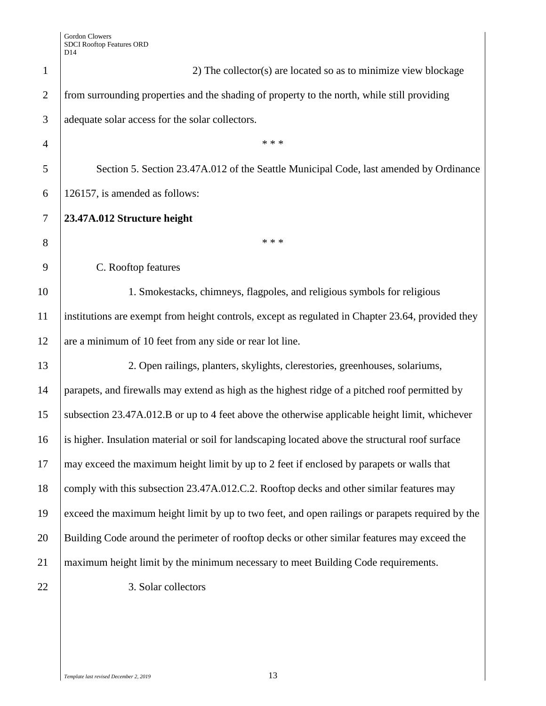|                | レー                                                                                                |
|----------------|---------------------------------------------------------------------------------------------------|
| $\mathbf{1}$   | 2) The collector(s) are located so as to minimize view blockage                                   |
| $\overline{2}$ | from surrounding properties and the shading of property to the north, while still providing       |
| 3              | adequate solar access for the solar collectors.                                                   |
| $\overline{4}$ | * * *                                                                                             |
| 5              | Section 5. Section 23.47A.012 of the Seattle Municipal Code, last amended by Ordinance            |
| 6              | 126157, is amended as follows:                                                                    |
| $\tau$         | 23.47A.012 Structure height                                                                       |
| 8              | * * *                                                                                             |
| 9              | C. Rooftop features                                                                               |
| 10             | 1. Smokestacks, chimneys, flagpoles, and religious symbols for religious                          |
| 11             | institutions are exempt from height controls, except as regulated in Chapter 23.64, provided they |
| 12             | are a minimum of 10 feet from any side or rear lot line.                                          |
| 13             | 2. Open railings, planters, skylights, clerestories, greenhouses, solariums,                      |
| 14             | parapets, and firewalls may extend as high as the highest ridge of a pitched roof permitted by    |
| 15             | subsection 23.47A.012.B or up to 4 feet above the otherwise applicable height limit, whichever    |
| 16             | is higher. Insulation material or soil for landscaping located above the structural roof surface  |
| 17             | may exceed the maximum height limit by up to 2 feet if enclosed by parapets or walls that         |
| 18             | comply with this subsection 23.47A.012.C.2. Rooftop decks and other similar features may          |
| 19             | exceed the maximum height limit by up to two feet, and open railings or parapets required by the  |
| 20             | Building Code around the perimeter of rooftop decks or other similar features may exceed the      |
| 21             | maximum height limit by the minimum necessary to meet Building Code requirements.                 |
| 22             | 3. Solar collectors                                                                               |
|                |                                                                                                   |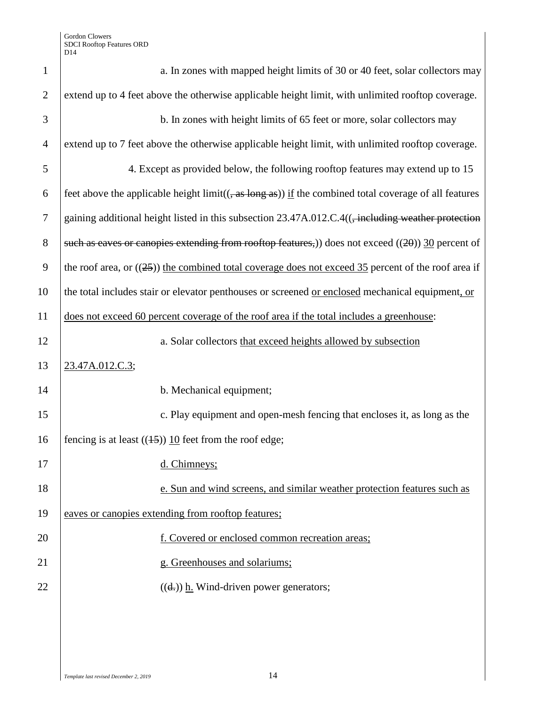| $\mathbf{1}$   | a. In zones with mapped height limits of 30 or 40 feet, solar collectors may                                   |
|----------------|----------------------------------------------------------------------------------------------------------------|
| $\overline{2}$ | extend up to 4 feet above the otherwise applicable height limit, with unlimited rooftop coverage.              |
| 3              | b. In zones with height limits of 65 feet or more, solar collectors may                                        |
| $\overline{4}$ | extend up to 7 feet above the otherwise applicable height limit, with unlimited rooftop coverage.              |
| 5              | 4. Except as provided below, the following rooftop features may extend up to 15                                |
| 6              | feet above the applicable height $\lim_{x \to 0}$ if the combined total coverage of all features               |
| $\tau$         | gaining additional height listed in this subsection 23.47A.012.C.4(( <del>, including weather protection</del> |
| 8              | such as eaves or canopies extending from rooftop features,) does not exceed $((20))$ 30 percent of             |
| 9              | the roof area, or $((25))$ the combined total coverage does not exceed 35 percent of the roof area if          |
| 10             | the total includes stair or elevator penthouses or screened or enclosed mechanical equipment, or               |
| 11             | does not exceed 60 percent coverage of the roof area if the total includes a greenhouse:                       |
| 12             | a. Solar collectors that exceed heights allowed by subsection                                                  |
| 13             | 23.47A.012.C.3;                                                                                                |
| 14             | b. Mechanical equipment;                                                                                       |
| 15             | c. Play equipment and open-mesh fencing that encloses it, as long as the                                       |
| 16             | fencing is at least $((15))$ 10 feet from the roof edge;                                                       |
| 17             | d. Chimneys;                                                                                                   |
| 18             | e. Sun and wind screens, and similar weather protection features such as                                       |
| 19             | eaves or canopies extending from rooftop features;                                                             |
| 20             | f. Covered or enclosed common recreation areas;                                                                |
| 21             | g. Greenhouses and solariums;                                                                                  |
| 22             | $((dz))$ h. Wind-driven power generators;                                                                      |
|                |                                                                                                                |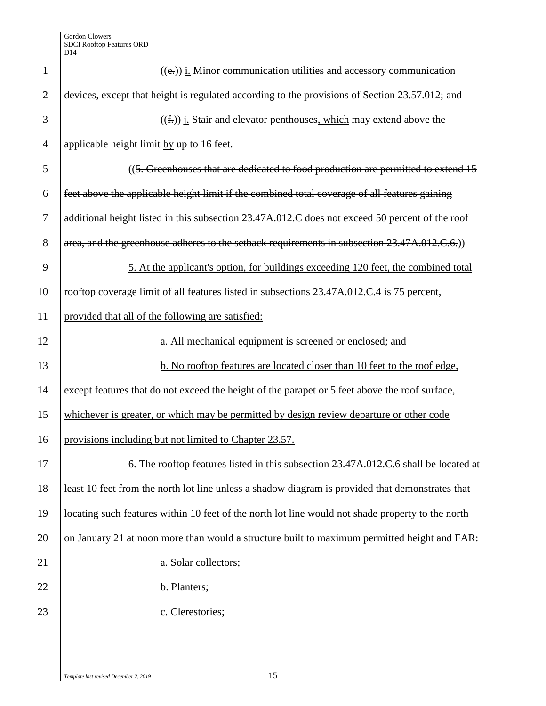| $\mathbf{1}$   | $((e))$ <i>i.</i> Minor communication utilities and accessory communication                       |
|----------------|---------------------------------------------------------------------------------------------------|
|                |                                                                                                   |
| $\overline{2}$ | devices, except that height is regulated according to the provisions of Section 23.57.012; and    |
| 3              | $((\text{f.}))$ <i>i.</i> Stair and elevator penthouses, which may extend above the               |
| $\overline{4}$ | applicable height limit by up to 16 feet.                                                         |
| 5              | ((5. Greenhouses that are dedicated to food production are permitted to extend 15                 |
| 6              | feet above the applicable height limit if the combined total coverage of all features gaining     |
| $\overline{7}$ | additional height listed in this subsection 23.47A.012.C does not exceed 50 percent of the roof   |
| 8              | area, and the greenhouse adheres to the setback requirements in subsection 23.47A.012.C.6.)       |
| 9              | 5. At the applicant's option, for buildings exceeding 120 feet, the combined total                |
| 10             | rooftop coverage limit of all features listed in subsections 23.47A.012.C.4 is 75 percent,        |
| 11             | provided that all of the following are satisfied:                                                 |
| 12             | a. All mechanical equipment is screened or enclosed; and                                          |
| 13             | b. No rooftop features are located closer than 10 feet to the roof edge,                          |
| 14             | except features that do not exceed the height of the parapet or 5 feet above the roof surface,    |
| 15             | whichever is greater, or which may be permitted by design review departure or other code          |
| 16             | provisions including but not limited to Chapter 23.57.                                            |
| 17             | 6. The rooftop features listed in this subsection 23.47A.012.C.6 shall be located at              |
| 18             | least 10 feet from the north lot line unless a shadow diagram is provided that demonstrates that  |
| 19             | locating such features within 10 feet of the north lot line would not shade property to the north |
| 20             | on January 21 at noon more than would a structure built to maximum permitted height and FAR:      |
| 21             | a. Solar collectors;                                                                              |
| 22             | b. Planters;                                                                                      |
| 23             | c. Clerestories;                                                                                  |
|                |                                                                                                   |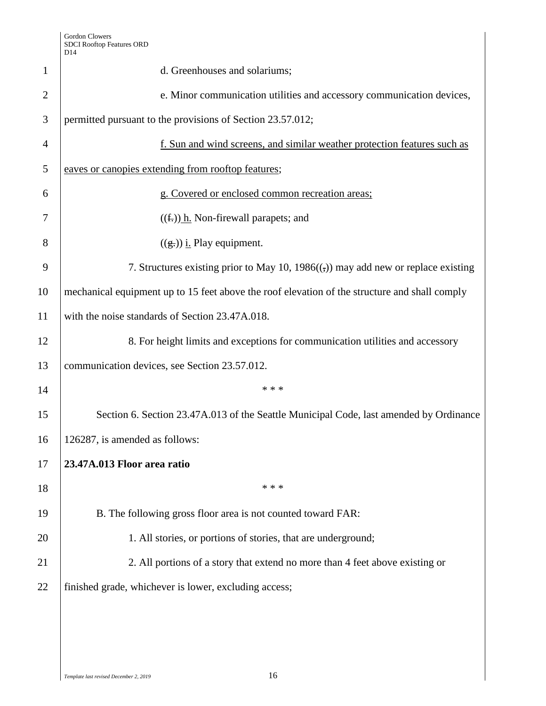|                | レエコ                                                                                           |
|----------------|-----------------------------------------------------------------------------------------------|
| $\mathbf{1}$   | d. Greenhouses and solariums;                                                                 |
| $\overline{2}$ | e. Minor communication utilities and accessory communication devices,                         |
| 3              | permitted pursuant to the provisions of Section 23.57.012;                                    |
| $\overline{4}$ | f. Sun and wind screens, and similar weather protection features such as                      |
| 5              | eaves or canopies extending from rooftop features;                                            |
| 6              | g. Covered or enclosed common recreation areas;                                               |
| 7              | $((f))$ h. Non-firewall parapets; and                                                         |
| 8              | $((g.))$ <i>i.</i> Play equipment.                                                            |
| 9              | 7. Structures existing prior to May 10, $1986$ ( $\epsilon$ ) may add new or replace existing |
| 10             | mechanical equipment up to 15 feet above the roof elevation of the structure and shall comply |
| 11             | with the noise standards of Section 23.47A.018.                                               |
| 12             | 8. For height limits and exceptions for communication utilities and accessory                 |
| 13             | communication devices, see Section 23.57.012.                                                 |
| 14             | * * *                                                                                         |
| 15             | Section 6. Section 23.47A.013 of the Seattle Municipal Code, last amended by Ordinance        |
| 16             | 126287, is amended as follows:                                                                |
| 17             | 23.47A.013 Floor area ratio                                                                   |
| 18             | * * *                                                                                         |
| 19             | B. The following gross floor area is not counted toward FAR:                                  |
| 20             | 1. All stories, or portions of stories, that are underground;                                 |
| 21             | 2. All portions of a story that extend no more than 4 feet above existing or                  |
| 22             | finished grade, whichever is lower, excluding access;                                         |
|                |                                                                                               |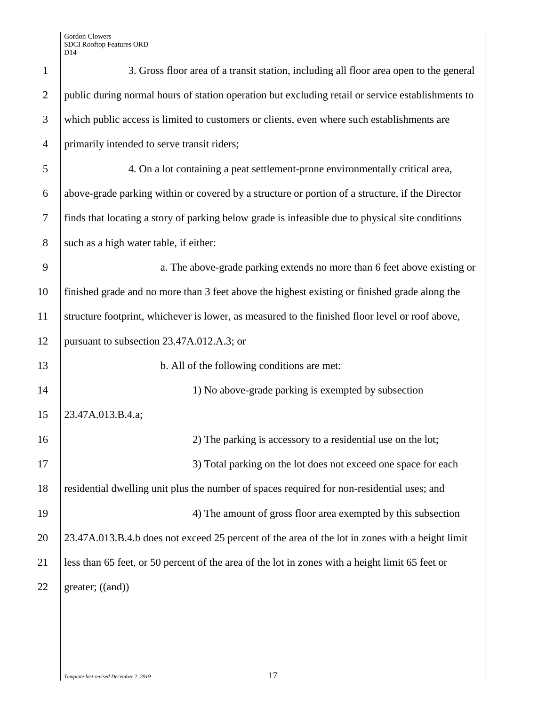| $\mathbf{1}$   | 3. Gross floor area of a transit station, including all floor area open to the general            |
|----------------|---------------------------------------------------------------------------------------------------|
| $\overline{2}$ | public during normal hours of station operation but excluding retail or service establishments to |
| 3              | which public access is limited to customers or clients, even where such establishments are        |
| $\overline{4}$ | primarily intended to serve transit riders;                                                       |
| 5              | 4. On a lot containing a peat settlement-prone environmentally critical area,                     |
| 6              | above-grade parking within or covered by a structure or portion of a structure, if the Director   |
| 7              | finds that locating a story of parking below grade is infeasible due to physical site conditions  |
| 8              | such as a high water table, if either:                                                            |
| 9              | a. The above-grade parking extends no more than 6 feet above existing or                          |
| 10             | finished grade and no more than 3 feet above the highest existing or finished grade along the     |
| 11             | structure footprint, whichever is lower, as measured to the finished floor level or roof above,   |
| 12             | pursuant to subsection 23.47A.012.A.3; or                                                         |
| 13             | b. All of the following conditions are met:                                                       |
| 14             | 1) No above-grade parking is exempted by subsection                                               |
| 15             | 23.47A.013.B.4.a;                                                                                 |
| 16             | 2) The parking is accessory to a residential use on the lot;                                      |
| 17             | 3) Total parking on the lot does not exceed one space for each                                    |
| 18             | residential dwelling unit plus the number of spaces required for non-residential uses; and        |
| 19             | 4) The amount of gross floor area exempted by this subsection                                     |
| 20             | 23.47A.013.B.4.b does not exceed 25 percent of the area of the lot in zones with a height limit   |
| 21             | less than 65 feet, or 50 percent of the area of the lot in zones with a height limit 65 feet or   |
| 22             | greater; $((and))$                                                                                |
|                |                                                                                                   |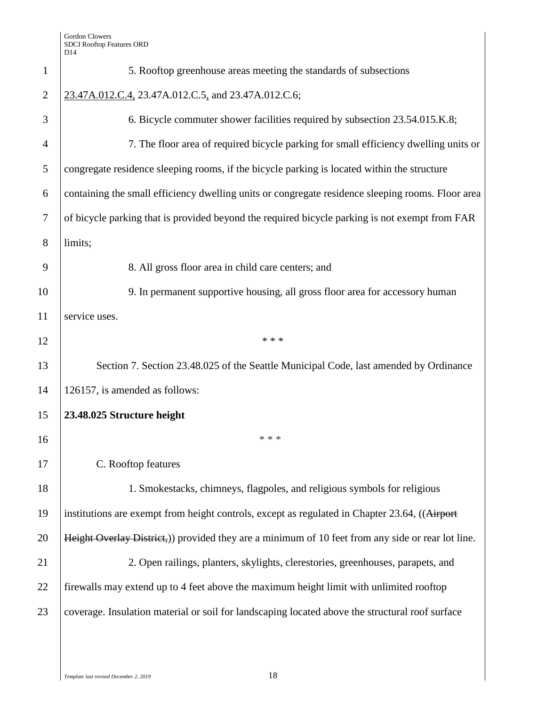|                | D <sub>14</sub>                                                                                   |
|----------------|---------------------------------------------------------------------------------------------------|
| $\mathbf{1}$   | 5. Rooftop greenhouse areas meeting the standards of subsections                                  |
| $\overline{2}$ | 23.47A.012.C.4, 23.47A.012.C.5, and 23.47A.012.C.6;                                               |
| 3              | 6. Bicycle commuter shower facilities required by subsection 23.54.015.K.8;                       |
| 4              | 7. The floor area of required bicycle parking for small efficiency dwelling units or              |
| 5              | congregate residence sleeping rooms, if the bicycle parking is located within the structure       |
| 6              | containing the small efficiency dwelling units or congregate residence sleeping rooms. Floor area |
| 7              | of bicycle parking that is provided beyond the required bicycle parking is not exempt from FAR    |
| 8              | limits;                                                                                           |
| 9              | 8. All gross floor area in child care centers; and                                                |
| 10             | 9. In permanent supportive housing, all gross floor area for accessory human                      |
| 11             | service uses.                                                                                     |
| 12             | * * *                                                                                             |
| 13             | Section 7. Section 23.48.025 of the Seattle Municipal Code, last amended by Ordinance             |
| 14             | 126157, is amended as follows:                                                                    |
| 15             | 23.48.025 Structure height                                                                        |
| 16             | * * *                                                                                             |
| 17             | C. Rooftop features                                                                               |
| 18             | 1. Smokestacks, chimneys, flagpoles, and religious symbols for religious                          |
| 19             | institutions are exempt from height controls, except as regulated in Chapter 23.64, ((Airport     |
| 20             | Height Overlay District,) provided they are a minimum of 10 feet from any side or rear lot line.  |
| 21             | 2. Open railings, planters, skylights, clerestories, greenhouses, parapets, and                   |
| 22             | firewalls may extend up to 4 feet above the maximum height limit with unlimited rooftop           |
| 23             | coverage. Insulation material or soil for landscaping located above the structural roof surface   |
|                |                                                                                                   |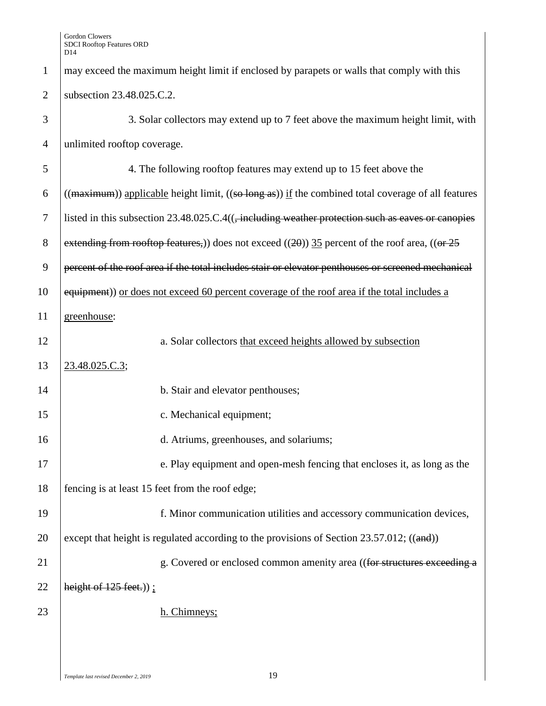| $\mathbf{1}$   | may exceed the maximum height limit if enclosed by parapets or walls that comply with this                           |
|----------------|----------------------------------------------------------------------------------------------------------------------|
| $\overline{2}$ | subsection 23.48.025.C.2.                                                                                            |
| 3              | 3. Solar collectors may extend up to 7 feet above the maximum height limit, with                                     |
| $\overline{4}$ | unlimited rooftop coverage.                                                                                          |
| 5              | 4. The following rooftop features may extend up to 15 feet above the                                                 |
| 6              | $((\text{maximum}))$ applicable height limit, $((\text{so long as}))$ if the combined total coverage of all features |
| 7              | listed in this subsection $23.48.025.C.4($ , including weather protection such as eaves or canopies                  |
| $8\,$          | extending from rooftop features,) does not exceed $((20))$ 35 percent of the roof area, $((or 25)$                   |
| 9              | percent of the roof area if the total includes stair or elevator penthouses or screened mechanical                   |
| 10             | equipment)) or does not exceed 60 percent coverage of the roof area if the total includes a                          |
| 11             | greenhouse:                                                                                                          |
| 12             | a. Solar collectors that exceed heights allowed by subsection                                                        |
| 13             | 23.48.025.C.3;                                                                                                       |
| 14             | b. Stair and elevator penthouses;                                                                                    |
| 15             | c. Mechanical equipment;                                                                                             |
| 16             | d. Atriums, greenhouses, and solariums;                                                                              |
| 17             | e. Play equipment and open-mesh fencing that encloses it, as long as the                                             |
| 18             | fencing is at least 15 feet from the roof edge;                                                                      |
| 19             | f. Minor communication utilities and accessory communication devices,                                                |
| 20             | except that height is regulated according to the provisions of Section 23.57.012; $((and))$                          |
| 21             | g. Covered or enclosed common amenity area ((for structures exceeding a                                              |
| 22             | height of $125$ feet.));                                                                                             |
| 23             | h. Chimneys;                                                                                                         |
|                |                                                                                                                      |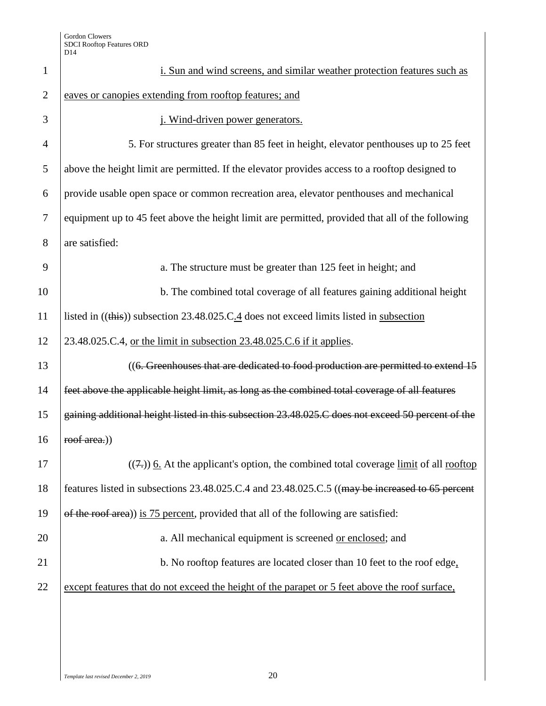| $\mathbf{1}$   | i. Sun and wind screens, and similar weather protection features such as                          |
|----------------|---------------------------------------------------------------------------------------------------|
| $\overline{2}$ | eaves or canopies extending from rooftop features; and                                            |
| 3              | j. Wind-driven power generators.                                                                  |
| $\overline{4}$ | 5. For structures greater than 85 feet in height, elevator penthouses up to 25 feet               |
| 5              | above the height limit are permitted. If the elevator provides access to a rooftop designed to    |
| 6              | provide usable open space or common recreation area, elevator penthouses and mechanical           |
| $\tau$         | equipment up to 45 feet above the height limit are permitted, provided that all of the following  |
| 8              | are satisfied:                                                                                    |
| 9              | a. The structure must be greater than 125 feet in height; and                                     |
| 10             | b. The combined total coverage of all features gaining additional height                          |
| 11             | listed in ((this)) subsection 23.48.025.C.4 does not exceed limits listed in subsection           |
| 12             | 23.48.025.C.4, or the limit in subsection 23.48.025.C.6 if it applies.                            |
| 13             | ((6. Greenhouses that are dedicated to food production are permitted to extend 15                 |
| 14             | feet above the applicable height limit, as long as the combined total coverage of all features    |
| 15             | gaining additional height listed in this subsection 23.48.025.C does not exceed 50 percent of the |
| 16             | roof area.)                                                                                       |
| 17             | $((7))$ 6. At the applicant's option, the combined total coverage limit of all rooftop            |
| 18             | features listed in subsections 23.48.025.C.4 and 23.48.025.C.5 ((may be increased to 65 percent   |
| 19             | of the roof area)) is 75 percent, provided that all of the following are satisfied:               |
| 20             | a. All mechanical equipment is screened or enclosed; and                                          |
| 21             | b. No rooftop features are located closer than 10 feet to the roof edge,                          |
| 22             | except features that do not exceed the height of the parapet or 5 feet above the roof surface,    |
|                |                                                                                                   |
|                |                                                                                                   |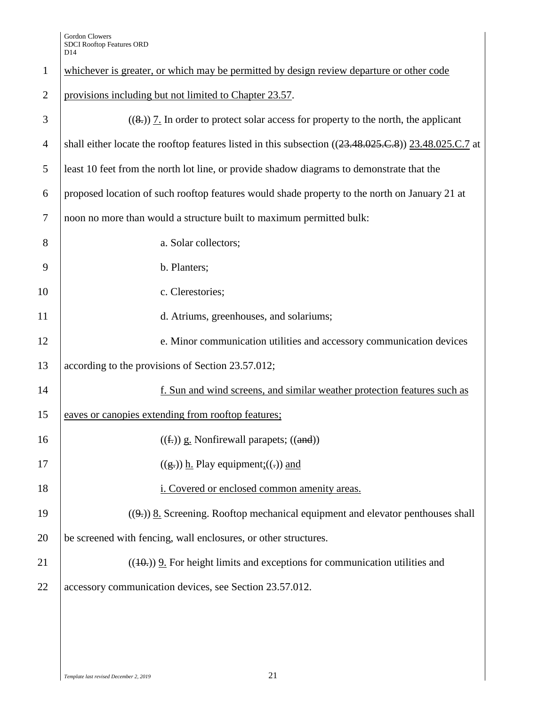| $\mathbf{1}$   | whichever is greater, or which may be permitted by design review departure or other code              |
|----------------|-------------------------------------------------------------------------------------------------------|
| $\overline{2}$ | provisions including but not limited to Chapter 23.57.                                                |
| 3              | $((8,))$ 7. In order to protect solar access for property to the north, the applicant                 |
| $\overline{4}$ | shall either locate the rooftop features listed in this subsection ((23.48.025.C.8)) 23.48.025.C.7 at |
| 5              | least 10 feet from the north lot line, or provide shadow diagrams to demonstrate that the             |
| 6              | proposed location of such rooftop features would shade property to the north on January 21 at         |
| $\overline{7}$ | noon no more than would a structure built to maximum permitted bulk:                                  |
| 8              | a. Solar collectors;                                                                                  |
| 9              | b. Planters;                                                                                          |
| 10             | c. Clerestories;                                                                                      |
| 11             | d. Atriums, greenhouses, and solariums;                                                               |
| 12             | e. Minor communication utilities and accessory communication devices                                  |
| 13             | according to the provisions of Section 23.57.012;                                                     |
| 14             | f. Sun and wind screens, and similar weather protection features such as                              |
| 15             | eaves or canopies extending from rooftop features;                                                    |
| 16             | $((f))$ g. Nonfirewall parapets; $((and))$                                                            |
| 17             | $((g.))$ h. Play equipment; $((.)$ and                                                                |
| 18             | i. Covered or enclosed common amenity areas.                                                          |
| 19             | $((9))$ 8. Screening. Rooftop mechanical equipment and elevator penthouses shall                      |
| 20             | be screened with fencing, wall enclosures, or other structures.                                       |
| 21             | $((10))$ 9. For height limits and exceptions for communication utilities and                          |
| 22             | accessory communication devices, see Section 23.57.012.                                               |
|                |                                                                                                       |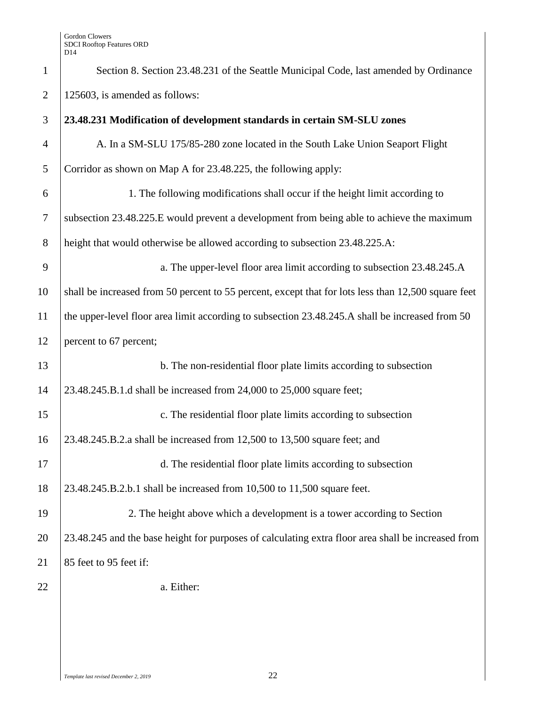| $\mathbf{1}$   | Section 8. Section 23.48.231 of the Seattle Municipal Code, last amended by Ordinance               |
|----------------|-----------------------------------------------------------------------------------------------------|
| $\overline{2}$ | 125603, is amended as follows:                                                                      |
| 3              | 23.48.231 Modification of development standards in certain SM-SLU zones                             |
| $\overline{4}$ | A. In a SM-SLU 175/85-280 zone located in the South Lake Union Seaport Flight                       |
| 5              | Corridor as shown on Map A for 23.48.225, the following apply:                                      |
| 6              | 1. The following modifications shall occur if the height limit according to                         |
| $\tau$         | subsection 23.48.225.E would prevent a development from being able to achieve the maximum           |
| $8\,$          | height that would otherwise be allowed according to subsection 23.48.225.A:                         |
| 9              | a. The upper-level floor area limit according to subsection 23.48.245.A                             |
| 10             | shall be increased from 50 percent to 55 percent, except that for lots less than 12,500 square feet |
| 11             | the upper-level floor area limit according to subsection 23.48.245.A shall be increased from 50     |
| 12             | percent to 67 percent;                                                                              |
| 13             | b. The non-residential floor plate limits according to subsection                                   |
| 14             | 23.48.245.B.1.d shall be increased from 24,000 to 25,000 square feet;                               |
| 15             | c. The residential floor plate limits according to subsection                                       |
| 16             | 23.48.245.B.2.a shall be increased from 12,500 to 13,500 square feet; and                           |
| 17             | d. The residential floor plate limits according to subsection                                       |
| 18             | 23.48.245.B.2.b.1 shall be increased from 10,500 to 11,500 square feet.                             |
| 19             | 2. The height above which a development is a tower according to Section                             |
| 20             | 23.48.245 and the base height for purposes of calculating extra floor area shall be increased from  |
| 21             | 85 feet to 95 feet if:                                                                              |
| 22             | a. Either:                                                                                          |
|                |                                                                                                     |
|                |                                                                                                     |
|                |                                                                                                     |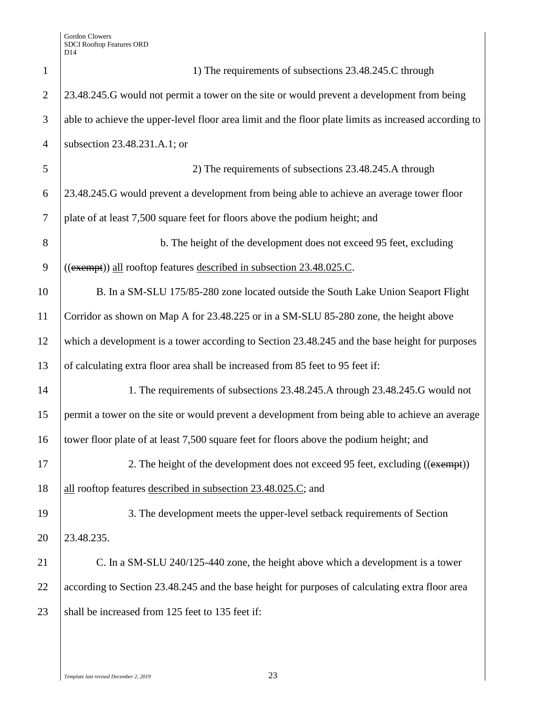1 1 1 1 1) The requirements of subsections 23.48.245.C through 2 23.48.245.G would not permit a tower on the site or would prevent a development from being 3 able to achieve the upper-level floor area limit and the floor plate limits as increased according to 4 subsection 23.48.231.A.1; or 5 2) The requirements of subsections 23.48.245.A through 6 23.48.245.G would prevent a development from being able to achieve an average tower floor 7 plate of at least 7,500 square feet for floors above the podium height; and 8 b. The height of the development does not exceed 95 feet, excluding 9  $((\text{exempt}))$  all rooftop features described in subsection 23.48.025.C. 10 B. In a SM-SLU 175/85-280 zone located outside the South Lake Union Seaport Flight 11 Corridor as shown on Map A for 23.48.225 or in a SM-SLU 85-280 zone, the height above 12 which a development is a tower according to Section 23.48.245 and the base height for purposes 13 of calculating extra floor area shall be increased from 85 feet to 95 feet if: 14 1. The requirements of subsections 23.48.245.A through 23.48.245.G would not 15 permit a tower on the site or would prevent a development from being able to achieve an average 16 tower floor plate of at least 7,500 square feet for floors above the podium height; and 17 2. The height of the development does not exceed 95 feet, excluding ((exempt)) 18 all rooftop features described in subsection 23.48.025.C; and 19 3. The development meets the upper-level setback requirements of Section 20 23.48.235. 21 C. In a SM-SLU 240/125-440 zone, the height above which a development is a tower 22 according to Section 23.48.245 and the base height for purposes of calculating extra floor area 23 shall be increased from 125 feet to 135 feet if: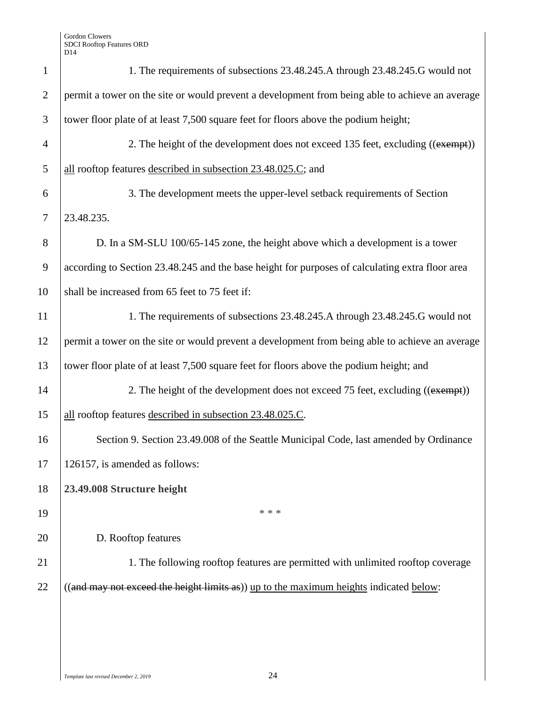| $\mathbf{1}$   | 1. The requirements of subsections 23.48.245.A through 23.48.245.G would not                    |
|----------------|-------------------------------------------------------------------------------------------------|
| $\overline{2}$ | permit a tower on the site or would prevent a development from being able to achieve an average |
| 3              | tower floor plate of at least 7,500 square feet for floors above the podium height;             |
| $\overline{4}$ | 2. The height of the development does not exceed 135 feet, excluding ((exempt))                 |
| 5              | all rooftop features described in subsection 23.48.025.C; and                                   |
| 6              | 3. The development meets the upper-level setback requirements of Section                        |
| $\tau$         | 23.48.235.                                                                                      |
| 8              | D. In a SM-SLU 100/65-145 zone, the height above which a development is a tower                 |
| 9              | according to Section 23.48.245 and the base height for purposes of calculating extra floor area |
| 10             | shall be increased from 65 feet to 75 feet if:                                                  |
| 11             | 1. The requirements of subsections 23.48.245.A through 23.48.245.G would not                    |
| 12             | permit a tower on the site or would prevent a development from being able to achieve an average |
| 13             | tower floor plate of at least 7,500 square feet for floors above the podium height; and         |
| 14             | 2. The height of the development does not exceed 75 feet, excluding ((exempt))                  |
| 15             | all rooftop features described in subsection 23.48.025.C.                                       |
| 16             | Section 9. Section 23.49.008 of the Seattle Municipal Code, last amended by Ordinance           |
| 17             | 126157, is amended as follows:                                                                  |
| 18             | 23.49.008 Structure height                                                                      |
| 19             | * * *                                                                                           |
| 20             | D. Rooftop features                                                                             |
| 21             | 1. The following rooftop features are permitted with unlimited rooftop coverage                 |
| 22             | ((and may not exceed the height limits as)) up to the maximum heights indicated below:          |
|                |                                                                                                 |
|                |                                                                                                 |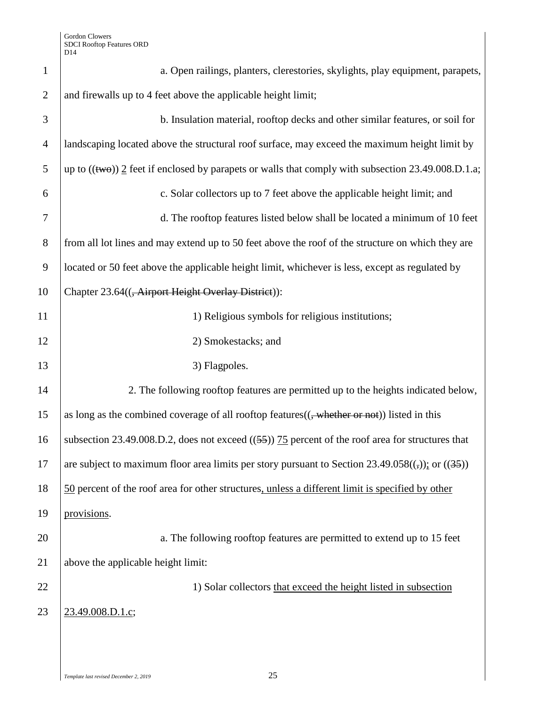| $\mathbf{1}$   | a. Open railings, planters, clerestories, skylights, play equipment, parapets,                              |
|----------------|-------------------------------------------------------------------------------------------------------------|
| $\overline{2}$ | and firewalls up to 4 feet above the applicable height limit;                                               |
| 3              | b. Insulation material, rooftop decks and other similar features, or soil for                               |
| $\overline{4}$ | landscaping located above the structural roof surface, may exceed the maximum height limit by               |
| 5              | up to $((\text{two}))$ 2 feet if enclosed by parapets or walls that comply with subsection 23.49.008.D.1.a; |
| 6              | c. Solar collectors up to 7 feet above the applicable height limit; and                                     |
| $\overline{7}$ | d. The rooftop features listed below shall be located a minimum of 10 feet                                  |
| 8              | from all lot lines and may extend up to 50 feet above the roof of the structure on which they are           |
| 9              | located or 50 feet above the applicable height limit, whichever is less, except as regulated by             |
| 10             | Chapter 23.64(( <del>, Airport Height Overlay District</del> )):                                            |
| 11             | 1) Religious symbols for religious institutions;                                                            |
| 12             | 2) Smokestacks; and                                                                                         |
| 13             | 3) Flagpoles.                                                                                               |
| 14             | 2. The following rooftop features are permitted up to the heights indicated below,                          |
| 15             | as long as the combined coverage of all rooftop features(( <del>, whether or not</del> )) listed in this    |
| 16             | subsection 23.49.008.D.2, does not exceed $((55))$ 75 percent of the roof area for structures that          |
| 17             | are subject to maximum floor area limits per story pursuant to Section $23.49.058((,))$ ; or $((35))$       |
| 18             | 50 percent of the roof area for other structures, unless a different limit is specified by other            |
| 19             | provisions.                                                                                                 |
| 20             | a. The following rooftop features are permitted to extend up to 15 feet                                     |
| 21             | above the applicable height limit:                                                                          |
| 22             | 1) Solar collectors that exceed the height listed in subsection                                             |
| 23             | 23.49.008.D.1.c;                                                                                            |
|                |                                                                                                             |
|                |                                                                                                             |

 $\overline{\phantom{a}}$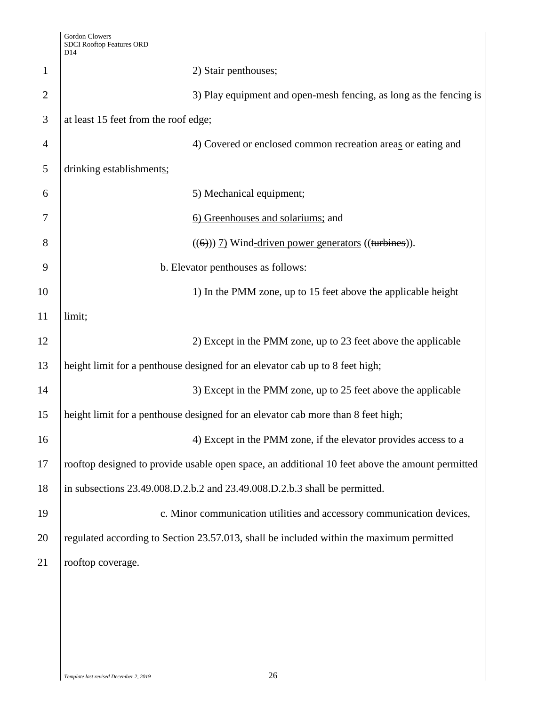|                | D14                                                                                             |
|----------------|-------------------------------------------------------------------------------------------------|
| 1              | 2) Stair penthouses;                                                                            |
| $\overline{2}$ | 3) Play equipment and open-mesh fencing, as long as the fencing is                              |
| 3              | at least 15 feet from the roof edge;                                                            |
| $\overline{4}$ | 4) Covered or enclosed common recreation areas or eating and                                    |
| 5              | drinking establishments;                                                                        |
| 6              | 5) Mechanical equipment;                                                                        |
| 7              | 6) Greenhouses and solariums; and                                                               |
| 8              | $((6))$ 7) Wind-driven power generators ((turbines)).                                           |
| 9              | b. Elevator penthouses as follows:                                                              |
| 10             | 1) In the PMM zone, up to 15 feet above the applicable height                                   |
| 11             | limit;                                                                                          |
| 12             | 2) Except in the PMM zone, up to 23 feet above the applicable                                   |
| 13             | height limit for a penthouse designed for an elevator cab up to 8 feet high;                    |
| 14             | 3) Except in the PMM zone, up to 25 feet above the applicable                                   |
| 15             | height limit for a penthouse designed for an elevator cab more than 8 feet high;                |
| 16             | 4) Except in the PMM zone, if the elevator provides access to a                                 |
| 17             | rooftop designed to provide usable open space, an additional 10 feet above the amount permitted |
| 18             | in subsections 23.49.008.D.2.b.2 and 23.49.008.D.2.b.3 shall be permitted.                      |
| 19             | c. Minor communication utilities and accessory communication devices,                           |
| 20             | regulated according to Section 23.57.013, shall be included within the maximum permitted        |
| 21             | rooftop coverage.                                                                               |
|                |                                                                                                 |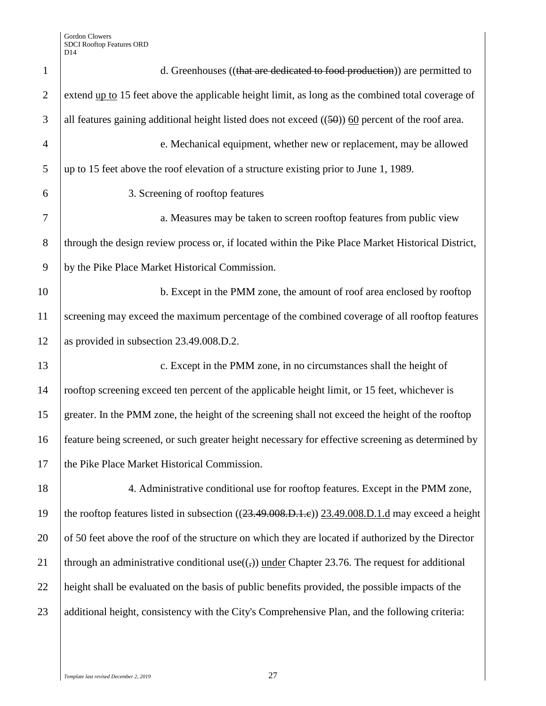| $\mathbf{1}$   | d. Greenhouses ((that are dedicated to food production)) are permitted to                              |
|----------------|--------------------------------------------------------------------------------------------------------|
| $\overline{2}$ | extend up to 15 feet above the applicable height limit, as long as the combined total coverage of      |
| 3              | all features gaining additional height listed does not exceed $((50))$ 60 percent of the roof area.    |
| $\overline{4}$ | e. Mechanical equipment, whether new or replacement, may be allowed                                    |
| 5              | up to 15 feet above the roof elevation of a structure existing prior to June 1, 1989.                  |
| 6              | 3. Screening of rooftop features                                                                       |
| $\overline{7}$ | a. Measures may be taken to screen rooftop features from public view                                   |
| 8              | through the design review process or, if located within the Pike Place Market Historical District,     |
| 9              | by the Pike Place Market Historical Commission.                                                        |
| 10             | b. Except in the PMM zone, the amount of roof area enclosed by rooftop                                 |
| 11             | screening may exceed the maximum percentage of the combined coverage of all rooftop features           |
| 12             | as provided in subsection 23.49.008.D.2.                                                               |
| 13             | c. Except in the PMM zone, in no circumstances shall the height of                                     |
| 14             | rooftop screening exceed ten percent of the applicable height limit, or 15 feet, whichever is          |
| 15             | greater. In the PMM zone, the height of the screening shall not exceed the height of the rooftop       |
| 16             | feature being screened, or such greater height necessary for effective screening as determined by      |
| 17             | the Pike Place Market Historical Commission.                                                           |
| 18             | 4. Administrative conditional use for rooftop features. Except in the PMM zone,                        |
| 19             | the rooftop features listed in subsection $((23.49.008.D.1.e))$ $(23.49.008.D.1.d$ may exceed a height |
| 20             | of 50 feet above the roof of the structure on which they are located if authorized by the Director     |
| 21             | through an administrative conditional use( $($ , $)$ ) under Chapter 23.76. The request for additional |
| 22             | height shall be evaluated on the basis of public benefits provided, the possible impacts of the        |
| 23             | additional height, consistency with the City's Comprehensive Plan, and the following criteria:         |
|                |                                                                                                        |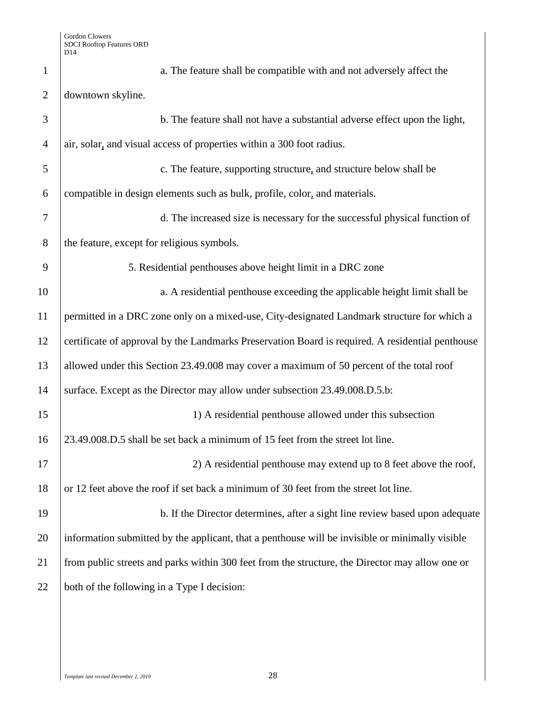| $\mathbf{1}$   | a. The feature shall be compatible with and not adversely affect the                             |
|----------------|--------------------------------------------------------------------------------------------------|
| $\mathfrak{2}$ | downtown skyline.                                                                                |
| 3              | b. The feature shall not have a substantial adverse effect upon the light,                       |
| $\overline{4}$ | air, solar, and visual access of properties within a 300 foot radius.                            |
| 5              | c. The feature, supporting structure, and structure below shall be                               |
| 6              | compatible in design elements such as bulk, profile, color, and materials.                       |
| $\overline{7}$ | d. The increased size is necessary for the successful physical function of                       |
| 8              | the feature, except for religious symbols.                                                       |
| 9              | 5. Residential penthouses above height limit in a DRC zone                                       |
| 10             | a. A residential penthouse exceeding the applicable height limit shall be                        |
| 11             | permitted in a DRC zone only on a mixed-use, City-designated Landmark structure for which a      |
| 12             | certificate of approval by the Landmarks Preservation Board is required. A residential penthouse |
| 13             | allowed under this Section 23.49.008 may cover a maximum of 50 percent of the total roof         |
| 14             | surface. Except as the Director may allow under subsection 23.49.008.D.5.b:                      |
| 15             | 1) A residential penthouse allowed under this subsection                                         |
| 16             | 23.49.008.D.5 shall be set back a minimum of 15 feet from the street lot line.                   |
| 17             | 2) A residential penthouse may extend up to 8 feet above the roof,                               |
| 18             | or 12 feet above the roof if set back a minimum of 30 feet from the street lot line.             |
| 19             | b. If the Director determines, after a sight line review based upon adequate                     |
| 20             | information submitted by the applicant, that a penthouse will be invisible or minimally visible  |
| 21             | from public streets and parks within 300 feet from the structure, the Director may allow one or  |
| 22             | both of the following in a Type I decision:                                                      |
|                |                                                                                                  |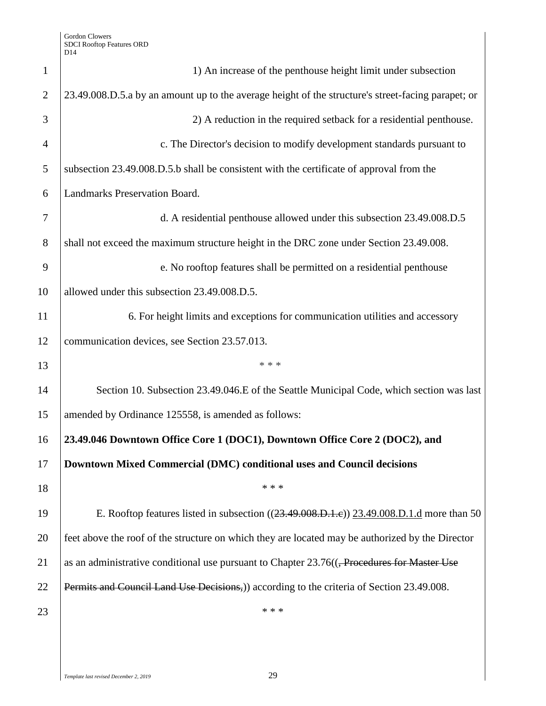| $\mathbf{1}$   | 1) An increase of the penthouse height limit under subsection                                           |
|----------------|---------------------------------------------------------------------------------------------------------|
| $\overline{2}$ | 23.49.008.D.5.a by an amount up to the average height of the structure's street-facing parapet; or      |
| 3              | 2) A reduction in the required setback for a residential penthouse.                                     |
| $\overline{4}$ | c. The Director's decision to modify development standards pursuant to                                  |
| 5              | subsection 23.49.008.D.5.b shall be consistent with the certificate of approval from the                |
| 6              | Landmarks Preservation Board.                                                                           |
| 7              | d. A residential penthouse allowed under this subsection 23.49.008.D.5                                  |
| 8              | shall not exceed the maximum structure height in the DRC zone under Section 23.49.008.                  |
| 9              | e. No rooftop features shall be permitted on a residential penthouse                                    |
| 10             | allowed under this subsection 23.49.008.D.5.                                                            |
| 11             | 6. For height limits and exceptions for communication utilities and accessory                           |
| 12             | communication devices, see Section 23.57.013.                                                           |
| 13             | * * *                                                                                                   |
| 14             | Section 10. Subsection 23.49.046.E of the Seattle Municipal Code, which section was last                |
| 15             | amended by Ordinance 125558, is amended as follows:                                                     |
| 16             | 23.49.046 Downtown Office Core 1 (DOC1), Downtown Office Core 2 (DOC2), and                             |
| 17             | Downtown Mixed Commercial (DMC) conditional uses and Council decisions                                  |
| 18             | * * *                                                                                                   |
| 19             | E. Rooftop features listed in subsection ((23.49.008.D.1.e)) 23.49.008.D.1.d more than 50               |
| 20             | feet above the roof of the structure on which they are located may be authorized by the Director        |
| 21             | as an administrative conditional use pursuant to Chapter 23.76(( <del>, Procedures for Master Use</del> |
| 22             | Permits and Council Land Use Decisions,) according to the criteria of Section 23.49.008.                |
| 23             | * * *                                                                                                   |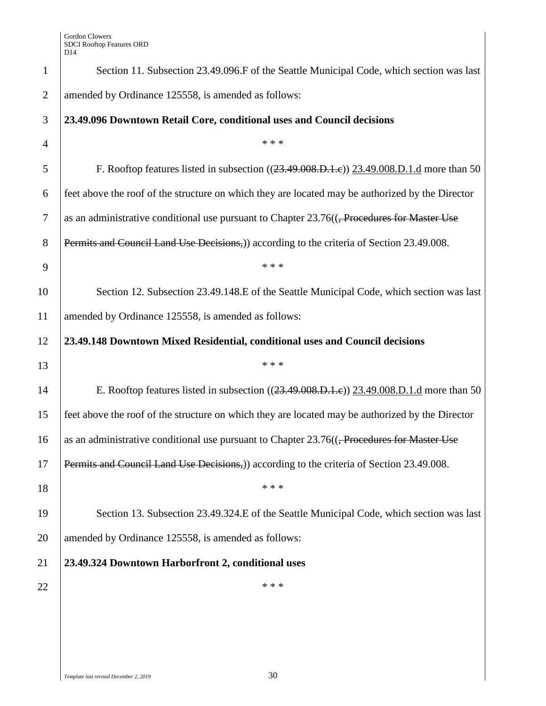| $\mathbf{1}$   | Section 11. Subsection 23.49.096.F of the Seattle Municipal Code, which section was last                  |
|----------------|-----------------------------------------------------------------------------------------------------------|
| $\overline{2}$ | amended by Ordinance 125558, is amended as follows:                                                       |
| 3              | 23.49.096 Downtown Retail Core, conditional uses and Council decisions                                    |
| $\overline{4}$ | * * *                                                                                                     |
| 5              | F. Rooftop features listed in subsection ((23.49.008.D.1.e)) 23.49.008.D.1.d more than 50                 |
| 6              | feet above the roof of the structure on which they are located may be authorized by the Director          |
| 7              | as an administrative conditional use pursuant to Chapter 23.76(( <del>, Procedures for Master Use</del> ) |
| 8              | Permits and Council Land Use Decisions,) according to the criteria of Section 23.49.008.                  |
| 9              | * * *                                                                                                     |
| 10             | Section 12. Subsection 23.49.148.E of the Seattle Municipal Code, which section was last                  |
| 11             | amended by Ordinance 125558, is amended as follows:                                                       |
| 12             | 23.49.148 Downtown Mixed Residential, conditional uses and Council decisions                              |
| 13             | * * *                                                                                                     |
| 14             | E. Rooftop features listed in subsection $((23.49.008.D.1.e))$ $(23.49.008.D.1.d$ more than 50            |
|                |                                                                                                           |
| 15             | feet above the roof of the structure on which they are located may be authorized by the Director          |
| 16             | as an administrative conditional use pursuant to Chapter 23.76(( <del>, Procedures for Master Use</del> ) |
| 17             | Permits and Council Land Use Decisions,)) according to the criteria of Section 23.49.008.                 |
| 18             | * * *                                                                                                     |
| 19             | Section 13. Subsection 23.49.324.E of the Seattle Municipal Code, which section was last                  |
| 20             | amended by Ordinance 125558, is amended as follows:                                                       |
| 21             | 23.49.324 Downtown Harborfront 2, conditional uses                                                        |
| 22             | * * *                                                                                                     |
|                |                                                                                                           |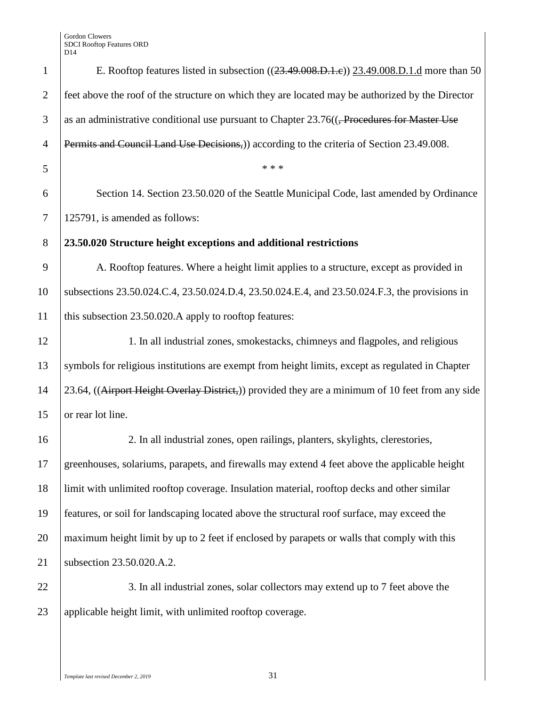| $\mathbf{1}$   | E. Rooftop features listed in subsection $((23.49.008.D.1.e))$ $(23.49.008.D.1.d$ more than 50          |
|----------------|---------------------------------------------------------------------------------------------------------|
| $\overline{2}$ | feet above the roof of the structure on which they are located may be authorized by the Director        |
| 3              | as an administrative conditional use pursuant to Chapter 23.76(( <del>, Procedures for Master Use</del> |
| $\overline{4}$ | Permits and Council Land Use Decisions,) according to the criteria of Section 23.49.008.                |
| 5              | * * *                                                                                                   |
| 6              | Section 14. Section 23.50.020 of the Seattle Municipal Code, last amended by Ordinance                  |
| $\tau$         | 125791, is amended as follows:                                                                          |
| 8              | 23.50.020 Structure height exceptions and additional restrictions                                       |
| 9              | A. Rooftop features. Where a height limit applies to a structure, except as provided in                 |
| 10             | subsections 23.50.024.C.4, 23.50.024.D.4, 23.50.024.E.4, and 23.50.024.F.3, the provisions in           |
| 11             | this subsection 23.50.020.A apply to rooftop features:                                                  |
| 12             | 1. In all industrial zones, smokestacks, chimneys and flagpoles, and religious                          |
| 13             | symbols for religious institutions are exempt from height limits, except as regulated in Chapter        |
| 14             | 23.64, ((Airport Height Overlay District,)) provided they are a minimum of 10 feet from any side        |
| 15             | or rear lot line.                                                                                       |
| 16             | 2. In all industrial zones, open railings, planters, skylights, clerestories,                           |
| 17             | greenhouses, solariums, parapets, and firewalls may extend 4 feet above the applicable height           |
| 18             | limit with unlimited rooftop coverage. Insulation material, rooftop decks and other similar             |
| 19             | features, or soil for landscaping located above the structural roof surface, may exceed the             |
| 20             | maximum height limit by up to 2 feet if enclosed by parapets or walls that comply with this             |
| 21             | subsection 23.50.020.A.2.                                                                               |
| 22             | 3. In all industrial zones, solar collectors may extend up to 7 feet above the                          |
| 23             | applicable height limit, with unlimited rooftop coverage.                                               |
|                |                                                                                                         |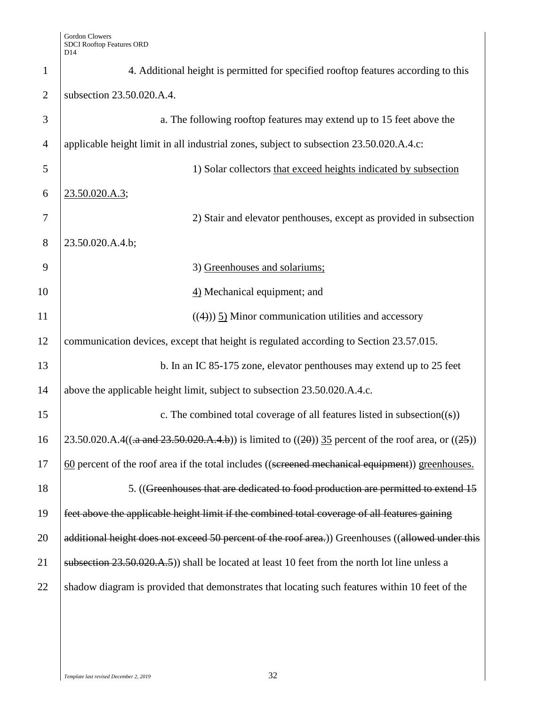| $\mathbf{1}$   | 4. Additional height is permitted for specified rooftop features according to this                           |
|----------------|--------------------------------------------------------------------------------------------------------------|
| $\overline{2}$ | subsection 23.50.020.A.4.                                                                                    |
| 3              | a. The following rooftop features may extend up to 15 feet above the                                         |
| $\overline{4}$ | applicable height limit in all industrial zones, subject to subsection 23.50.020.A.4.c:                      |
| 5              | 1) Solar collectors that exceed heights indicated by subsection                                              |
| 6              | 23.50.020.A.3;                                                                                               |
| 7              | 2) Stair and elevator penthouses, except as provided in subsection                                           |
| 8              | 23.50.020.A.4.b;                                                                                             |
| 9              | 3) Greenhouses and solariums;                                                                                |
| 10             | 4) Mechanical equipment; and                                                                                 |
| 11             | $((4))$ 5) Minor communication utilities and accessory                                                       |
| 12             | communication devices, except that height is regulated according to Section 23.57.015.                       |
| 13             | b. In an IC 85-175 zone, elevator penthouses may extend up to 25 feet                                        |
| 14             | above the applicable height limit, subject to subsection 23.50.020.A.4.c.                                    |
| 15             | c. The combined total coverage of all features listed in subsection( $(\mathbf{s})$ )                        |
| 16             | 23.50.020.A.4( $(a$ -a and 23.50.020.A.4.b)) is limited to $((20))$ 35 percent of the roof area, or $((25))$ |
| 17             | 60 percent of the roof area if the total includes ((sereened mechanical equipment)) greenhouses.             |
| 18             | 5. ((Greenhouses that are dedicated to food production are permitted to extend 15                            |
| 19             | feet above the applicable height limit if the combined total coverage of all features gaining                |
| 20             | additional height does not exceed 50 percent of the roof area.) Greenhouses ((allowed under this             |
| 21             | subsection 23.50.020.A.5) shall be located at least 10 feet from the north lot line unless a                 |
| 22             | shadow diagram is provided that demonstrates that locating such features within 10 feet of the               |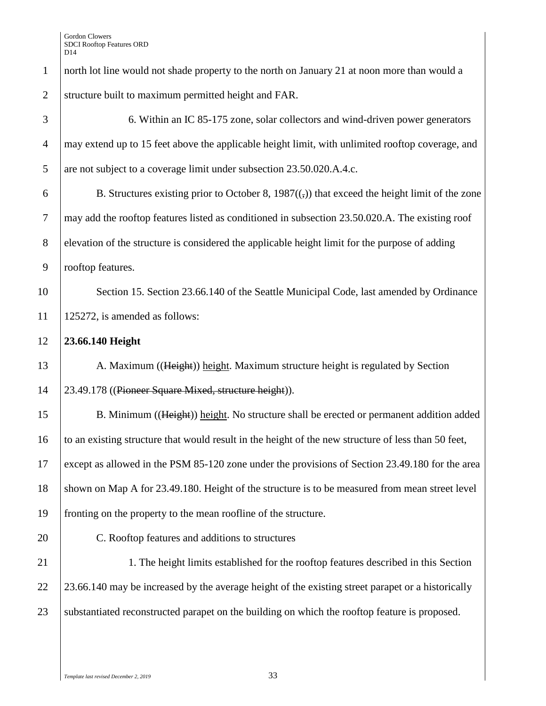1 | north lot line would not shade property to the north on January 21 at noon more than would a 2 structure built to maximum permitted height and FAR.

| 3              | 6. Within an IC 85-175 zone, solar collectors and wind-driven power generators                          |
|----------------|---------------------------------------------------------------------------------------------------------|
| $\overline{4}$ | may extend up to 15 feet above the applicable height limit, with unlimited rooftop coverage, and        |
| 5              | are not subject to a coverage limit under subsection 23.50.020.A.4.c.                                   |
| 6              | B. Structures existing prior to October 8, $1987(\frac{1}{2})$ that exceed the height limit of the zone |
| $\tau$         | may add the rooftop features listed as conditioned in subsection 23.50.020.A. The existing roof         |
| $8\phantom{1}$ | elevation of the structure is considered the applicable height limit for the purpose of adding          |
| 9              | rooftop features.                                                                                       |
| 10             | Section 15. Section 23.66.140 of the Seattle Municipal Code, last amended by Ordinance                  |
| 11             | 125272, is amended as follows:                                                                          |
| 12             | 23.66.140 Height                                                                                        |
| 13             | A. Maximum ((Height)) height. Maximum structure height is regulated by Section                          |
| 14             | 23.49.178 ((Pioneer Square Mixed, structure height)).                                                   |
| 15             | B. Minimum ((Height)) height. No structure shall be erected or permanent addition added                 |
| 16             | to an existing structure that would result in the height of the new structure of less than 50 feet,     |
| 17             | except as allowed in the PSM 85-120 zone under the provisions of Section 23.49.180 for the area         |
| 18             | shown on Map A for 23.49.180. Height of the structure is to be measured from mean street level          |
| 19             | fronting on the property to the mean roofline of the structure.                                         |
| 20             | C. Rooftop features and additions to structures                                                         |
| 21             | 1. The height limits established for the rooftop features described in this Section                     |
| 22             | 23.66.140 may be increased by the average height of the existing street parapet or a historically       |
| 23             | substantiated reconstructed parapet on the building on which the rooftop feature is proposed.           |
|                |                                                                                                         |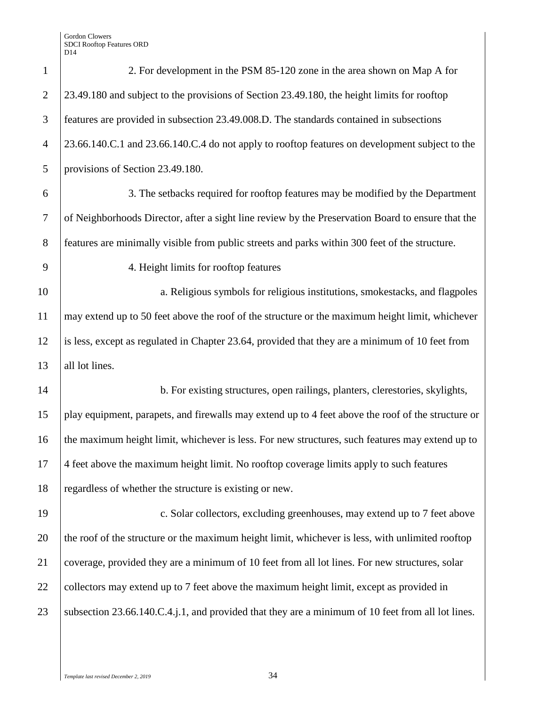| $\mathbf{1}$   | 2. For development in the PSM 85-120 zone in the area shown on Map A for                           |
|----------------|----------------------------------------------------------------------------------------------------|
| $\overline{2}$ | 23.49.180 and subject to the provisions of Section 23.49.180, the height limits for rooftop        |
| 3              | features are provided in subsection 23.49.008.D. The standards contained in subsections            |
| $\overline{4}$ | 23.66.140.C.1 and 23.66.140.C.4 do not apply to rooftop features on development subject to the     |
| 5              | provisions of Section 23.49.180.                                                                   |
| 6              | 3. The setbacks required for rooftop features may be modified by the Department                    |
| $\overline{7}$ | of Neighborhoods Director, after a sight line review by the Preservation Board to ensure that the  |
| 8              | features are minimally visible from public streets and parks within 300 feet of the structure.     |
| 9              | 4. Height limits for rooftop features                                                              |
| 10             | a. Religious symbols for religious institutions, smokestacks, and flagpoles                        |
| 11             | may extend up to 50 feet above the roof of the structure or the maximum height limit, whichever    |
| 12             | is less, except as regulated in Chapter 23.64, provided that they are a minimum of 10 feet from    |
| 13             | all lot lines.                                                                                     |
| 14             | b. For existing structures, open railings, planters, clerestories, skylights,                      |
| 15             | play equipment, parapets, and firewalls may extend up to 4 feet above the roof of the structure or |
| 16             | the maximum height limit, whichever is less. For new structures, such features may extend up to    |
| 17             | 4 feet above the maximum height limit. No rooftop coverage limits apply to such features           |
| 18             | regardless of whether the structure is existing or new.                                            |
| 19             | c. Solar collectors, excluding greenhouses, may extend up to 7 feet above                          |
| 20             | the roof of the structure or the maximum height limit, whichever is less, with unlimited rooftop   |
| 21             | coverage, provided they are a minimum of 10 feet from all lot lines. For new structures, solar     |
| 22             | collectors may extend up to 7 feet above the maximum height limit, except as provided in           |
| 23             | subsection 23.66.140.C.4.j.1, and provided that they are a minimum of 10 feet from all lot lines.  |
|                |                                                                                                    |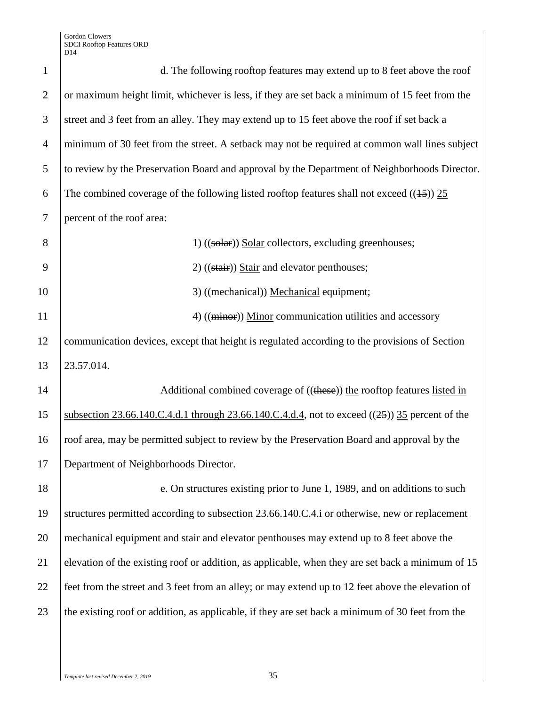| $\mathbf{1}$   | d. The following rooftop features may extend up to 8 feet above the roof                          |
|----------------|---------------------------------------------------------------------------------------------------|
| $\overline{2}$ | or maximum height limit, whichever is less, if they are set back a minimum of 15 feet from the    |
| 3              | street and 3 feet from an alley. They may extend up to 15 feet above the roof if set back a       |
| $\overline{4}$ | minimum of 30 feet from the street. A setback may not be required at common wall lines subject    |
| 5              | to review by the Preservation Board and approval by the Department of Neighborhoods Director.     |
| 6              | The combined coverage of the following listed rooftop features shall not exceed $((15))$ 25       |
| $\overline{7}$ | percent of the roof area:                                                                         |
| 8              | 1) ((solar) Solar collectors, excluding greenhouses;                                              |
| 9              | $2)$ ((stair)) Stair and elevator penthouses;                                                     |
| 10             | 3) ((mechanical)) Mechanical equipment;                                                           |
| 11             | 4) ((minor)) Minor communication utilities and accessory                                          |
| 12             | communication devices, except that height is regulated according to the provisions of Section     |
| 13             | 23.57.014.                                                                                        |
| 14             | Additional combined coverage of ((these)) the rooftop features listed in                          |
| 15             | subsection 23.66.140.C.4.d.1 through 23.66.140.C.4.d.4, not to exceed $((25))$ 35 percent of the  |
| 16             | roof area, may be permitted subject to review by the Preservation Board and approval by the       |
| 17             | Department of Neighborhoods Director.                                                             |
| 18             | e. On structures existing prior to June 1, 1989, and on additions to such                         |
| 19             | structures permitted according to subsection 23.66.140.C.4.i or otherwise, new or replacement     |
| 20             | mechanical equipment and stair and elevator penthouses may extend up to 8 feet above the          |
| 21             | elevation of the existing roof or addition, as applicable, when they are set back a minimum of 15 |
| 22             | feet from the street and 3 feet from an alley; or may extend up to 12 feet above the elevation of |
| 23             | the existing roof or addition, as applicable, if they are set back a minimum of 30 feet from the  |
|                |                                                                                                   |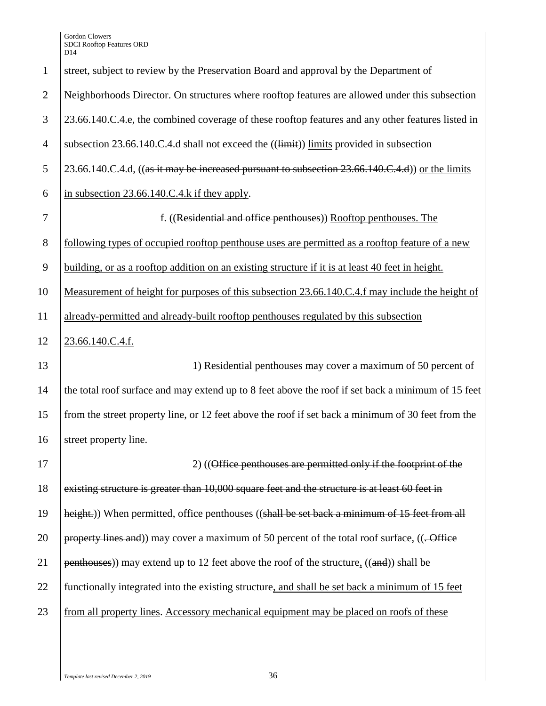| $\mathbf{1}$   | street, subject to review by the Preservation Board and approval by the Department of              |
|----------------|----------------------------------------------------------------------------------------------------|
| $\overline{2}$ | Neighborhoods Director. On structures where rooftop features are allowed under this subsection     |
| 3              | 23.66.140.C.4.e, the combined coverage of these rooftop features and any other features listed in  |
| $\overline{4}$ | subsection 23.66.140.C.4.d shall not exceed the ((limit)) limits provided in subsection            |
| 5              | 23.66.140.C.4.d, ((as it may be increased pursuant to subsection 23.66.140.C.4.d)) or the limits   |
| 6              | in subsection 23.66.140.C.4.k if they apply.                                                       |
| $\tau$         | f. ((Residential and office penthouses)) Rooftop penthouses. The                                   |
| $8\,$          | following types of occupied rooftop penthouse uses are permitted as a rooftop feature of a new     |
| 9              | building, or as a rooftop addition on an existing structure if it is at least 40 feet in height.   |
| 10             | Measurement of height for purposes of this subsection 23.66.140.C.4.f may include the height of    |
| 11             | already-permitted and already-built rooftop penthouses regulated by this subsection                |
| 12             | 23.66.140.C.4.f.                                                                                   |
| 13             | 1) Residential penthouses may cover a maximum of 50 percent of                                     |
| 14             | the total roof surface and may extend up to 8 feet above the roof if set back a minimum of 15 feet |
| 15             | from the street property line, or 12 feet above the roof if set back a minimum of 30 feet from the |
| 16             | street property line.                                                                              |
| 17             | 2) ((Office penthouses are permitted only if the footprint of the                                  |
| 18             |                                                                                                    |
|                | existing structure is greater than 10,000 square feet and the structure is at least 60 feet in     |
| 19             | height.)) When permitted, office penthouses ((shall be set back a minimum of 15 feet from all      |
|                | property lines and)) may cover a maximum of 50 percent of the total roof surface, ((. Office       |
| 20<br>21       | $p$ enthouses)) may extend up to 12 feet above the roof of the structure, $((and))$ shall be       |
| 22             | functionally integrated into the existing structure, and shall be set back a minimum of 15 feet    |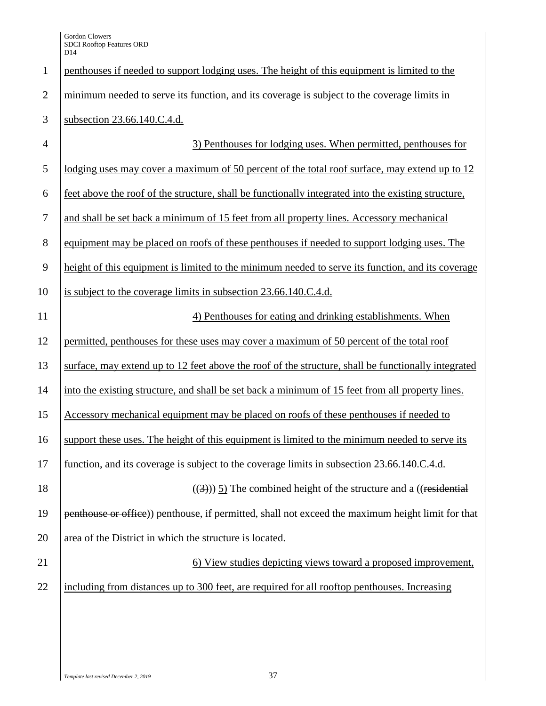| $\mathbf{1}$   | penthouses if needed to support lodging uses. The height of this equipment is limited to the        |
|----------------|-----------------------------------------------------------------------------------------------------|
| $\overline{2}$ | minimum needed to serve its function, and its coverage is subject to the coverage limits in         |
| 3              | subsection 23.66.140.C.4.d.                                                                         |
| $\overline{4}$ | 3) Penthouses for lodging uses. When permitted, penthouses for                                      |
| 5              | lodging uses may cover a maximum of 50 percent of the total roof surface, may extend up to 12       |
| 6              | feet above the roof of the structure, shall be functionally integrated into the existing structure, |
| $\tau$         | and shall be set back a minimum of 15 feet from all property lines. Accessory mechanical            |
| 8              | equipment may be placed on roofs of these penthouses if needed to support lodging uses. The         |
| 9              | height of this equipment is limited to the minimum needed to serve its function, and its coverage   |
| 10             | is subject to the coverage limits in subsection 23.66.140.C.4.d.                                    |
| 11             | 4) Penthouses for eating and drinking establishments. When                                          |
| 12             | permitted, penthouses for these uses may cover a maximum of 50 percent of the total roof            |
| 13             | surface, may extend up to 12 feet above the roof of the structure, shall be functionally integrated |
| 14             | into the existing structure, and shall be set back a minimum of 15 feet from all property lines.    |
| 15             | Accessory mechanical equipment may be placed on roofs of these penthouses if needed to              |
| 16             | support these uses. The height of this equipment is limited to the minimum needed to serve its      |
| 17             | function, and its coverage is subject to the coverage limits in subsection 23.66.140.C.4.d.         |
| 18             | $((3))$ $\overline{5}$ ). The combined height of the structure and a ((residential                  |
| 19             | penthouse or office)) penthouse, if permitted, shall not exceed the maximum height limit for that   |
| 20             | area of the District in which the structure is located.                                             |
| 21             | 6) View studies depicting views toward a proposed improvement,                                      |
| 22             | including from distances up to 300 feet, are required for all rooftop penthouses. Increasing        |
|                |                                                                                                     |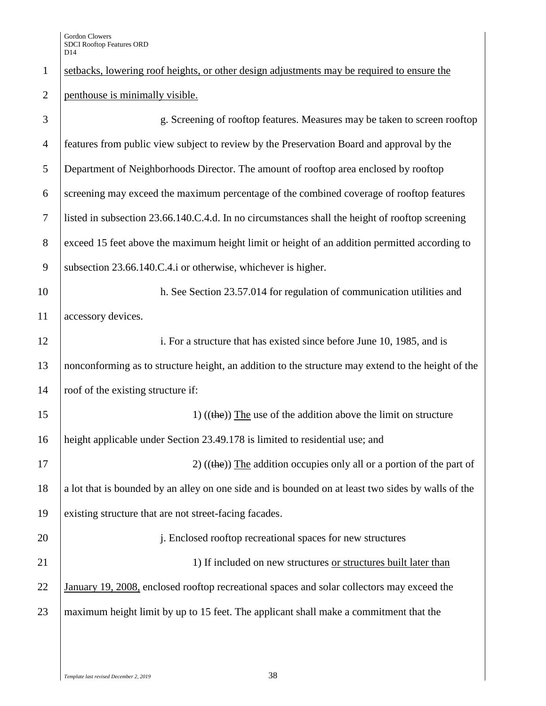| $\mathbf{1}$   | setbacks, lowering roof heights, or other design adjustments may be required to ensure the         |
|----------------|----------------------------------------------------------------------------------------------------|
| $\overline{2}$ | penthouse is minimally visible.                                                                    |
| 3              | g. Screening of rooftop features. Measures may be taken to screen rooftop                          |
| $\overline{4}$ | features from public view subject to review by the Preservation Board and approval by the          |
| 5              | Department of Neighborhoods Director. The amount of rooftop area enclosed by rooftop               |
| 6              | screening may exceed the maximum percentage of the combined coverage of rooftop features           |
| $\tau$         | listed in subsection 23.66.140.C.4.d. In no circumstances shall the height of rooftop screening    |
| $8\phantom{.}$ | exceed 15 feet above the maximum height limit or height of an addition permitted according to      |
| 9              | subsection 23.66.140.C.4.i or otherwise, whichever is higher.                                      |
| 10             | h. See Section 23.57.014 for regulation of communication utilities and                             |
| 11             | accessory devices.                                                                                 |
| 12             | i. For a structure that has existed since before June 10, 1985, and is                             |
| 13             | nonconforming as to structure height, an addition to the structure may extend to the height of the |
| 14             | roof of the existing structure if:                                                                 |
| 15             | 1) $((the))$ The use of the addition above the limit on structure                                  |
| 16             | height applicable under Section 23.49.178 is limited to residential use; and                       |
| 17             | 2) $((the))$ The addition occupies only all or a portion of the part of                            |
| 18             | a lot that is bounded by an alley on one side and is bounded on at least two sides by walls of the |
| 19             | existing structure that are not street-facing facades.                                             |
| 20             | j. Enclosed rooftop recreational spaces for new structures                                         |
| 21             | 1) If included on new structures or structures built later than                                    |
| 22             | January 19, 2008, enclosed rooftop recreational spaces and solar collectors may exceed the         |
| 23             | maximum height limit by up to 15 feet. The applicant shall make a commitment that the              |
|                |                                                                                                    |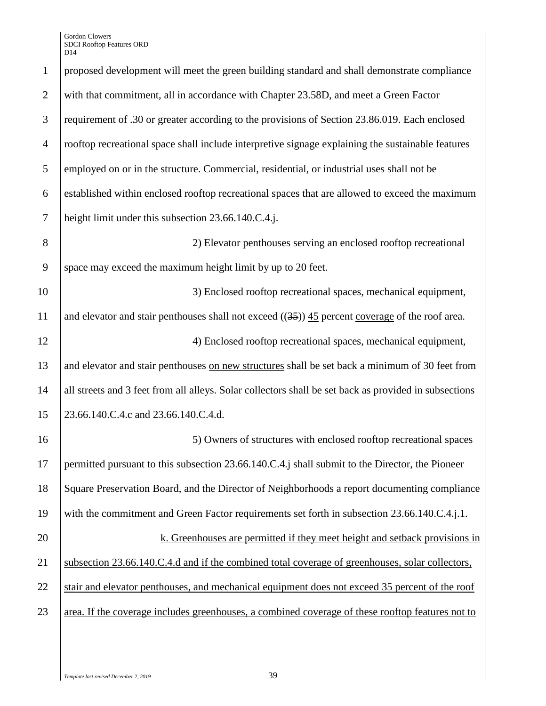| $\mathbf{1}$   | proposed development will meet the green building standard and shall demonstrate compliance           |
|----------------|-------------------------------------------------------------------------------------------------------|
| $\overline{2}$ | with that commitment, all in accordance with Chapter 23.58D, and meet a Green Factor                  |
| 3              | requirement of .30 or greater according to the provisions of Section 23.86.019. Each enclosed         |
| $\overline{4}$ | rooftop recreational space shall include interpretive signage explaining the sustainable features     |
| 5              | employed on or in the structure. Commercial, residential, or industrial uses shall not be             |
| 6              | established within enclosed rooftop recreational spaces that are allowed to exceed the maximum        |
| $\tau$         | height limit under this subsection 23.66.140.C.4.j.                                                   |
| 8              | 2) Elevator penthouses serving an enclosed rooftop recreational                                       |
| 9              | space may exceed the maximum height limit by up to 20 feet.                                           |
| 10             | 3) Enclosed rooftop recreational spaces, mechanical equipment,                                        |
| 11             | and elevator and stair penthouses shall not exceed $((35))$ 45 percent coverage of the roof area.     |
| 12             | 4) Enclosed rooftop recreational spaces, mechanical equipment,                                        |
| 13             | and elevator and stair penthouses on new structures shall be set back a minimum of 30 feet from       |
| 14             | all streets and 3 feet from all alleys. Solar collectors shall be set back as provided in subsections |
| 15             | 23.66.140.C.4.c and 23.66.140.C.4.d.                                                                  |
| 16             | 5) Owners of structures with enclosed rooftop recreational spaces                                     |
| 17             | permitted pursuant to this subsection 23.66.140.C.4.j shall submit to the Director, the Pioneer       |
| 18             | Square Preservation Board, and the Director of Neighborhoods a report documenting compliance          |
| 19             | with the commitment and Green Factor requirements set forth in subsection 23.66.140.C.4.j.1.          |
| 20             | k. Greenhouses are permitted if they meet height and setback provisions in                            |
| 21             | subsection 23.66.140.C.4.d and if the combined total coverage of greenhouses, solar collectors,       |
| 22             | stair and elevator penthouses, and mechanical equipment does not exceed 35 percent of the roof        |
| 23             | area. If the coverage includes greenhouses, a combined coverage of these rooftop features not to      |
|                |                                                                                                       |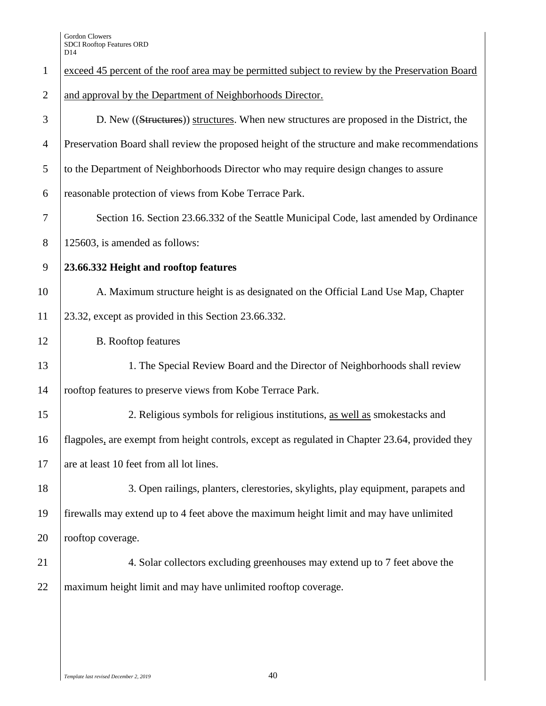| $\mathbf{1}$   | exceed 45 percent of the roof area may be permitted subject to review by the Preservation Board |
|----------------|-------------------------------------------------------------------------------------------------|
| $\overline{2}$ | and approval by the Department of Neighborhoods Director.                                       |
| 3              | D. New ((Structures)) structures. When new structures are proposed in the District, the         |
| $\overline{4}$ | Preservation Board shall review the proposed height of the structure and make recommendations   |
| 5              | to the Department of Neighborhoods Director who may require design changes to assure            |
| 6              | reasonable protection of views from Kobe Terrace Park.                                          |
| $\overline{7}$ | Section 16. Section 23.66.332 of the Seattle Municipal Code, last amended by Ordinance          |
| $8\,$          | 125603, is amended as follows:                                                                  |
| 9              | 23.66.332 Height and rooftop features                                                           |
| 10             | A. Maximum structure height is as designated on the Official Land Use Map, Chapter              |
| 11             | 23.32, except as provided in this Section 23.66.332.                                            |
| 12             | <b>B.</b> Rooftop features                                                                      |
| 13             | 1. The Special Review Board and the Director of Neighborhoods shall review                      |
| 14             | rooftop features to preserve views from Kobe Terrace Park.                                      |
| 15             | 2. Religious symbols for religious institutions, as well as smokestacks and                     |
| 16             | flagpoles, are exempt from height controls, except as regulated in Chapter 23.64, provided they |
| 17             | are at least 10 feet from all lot lines.                                                        |
| 18             | 3. Open railings, planters, clerestories, skylights, play equipment, parapets and               |
| 19             | firewalls may extend up to 4 feet above the maximum height limit and may have unlimited         |
| 20             | rooftop coverage.                                                                               |
| 21             | 4. Solar collectors excluding greenhouses may extend up to 7 feet above the                     |
| 22             | maximum height limit and may have unlimited rooftop coverage.                                   |
|                |                                                                                                 |
|                |                                                                                                 |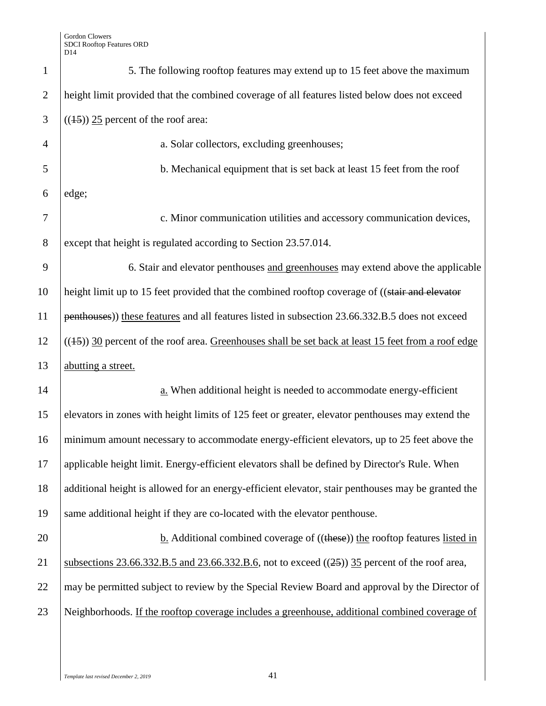| $\mathbf{1}$   | 5. The following rooftop features may extend up to 15 feet above the maximum                          |
|----------------|-------------------------------------------------------------------------------------------------------|
| $\overline{2}$ | height limit provided that the combined coverage of all features listed below does not exceed         |
| 3              | $((15))$ 25 percent of the roof area:                                                                 |
| $\overline{4}$ | a. Solar collectors, excluding greenhouses;                                                           |
| 5              | b. Mechanical equipment that is set back at least 15 feet from the roof                               |
| 6              | edge;                                                                                                 |
| $\overline{7}$ | c. Minor communication utilities and accessory communication devices,                                 |
| 8              | except that height is regulated according to Section 23.57.014.                                       |
| 9              | 6. Stair and elevator penthouses and greenhouses may extend above the applicable                      |
| 10             | height limit up to 15 feet provided that the combined rooftop coverage of ((stair and elevator        |
| 11             | penthouses)) these features and all features listed in subsection 23.66.332.B.5 does not exceed       |
| 12             | $((15))$ 30 percent of the roof area. Greenhouses shall be set back at least 15 feet from a roof edge |
| 13             | abutting a street.                                                                                    |
| 14             | a. When additional height is needed to accommodate energy-efficient                                   |
| 15             | elevators in zones with height limits of 125 feet or greater, elevator penthouses may extend the      |
| 16             | minimum amount necessary to accommodate energy-efficient elevators, up to 25 feet above the           |
| 17             | applicable height limit. Energy-efficient elevators shall be defined by Director's Rule. When         |
| 18             | additional height is allowed for an energy-efficient elevator, stair penthouses may be granted the    |
| 19             | same additional height if they are co-located with the elevator penthouse.                            |
| 20             | <b>b.</b> Additional combined coverage of $((these))$ the rooftop features listed in                  |
| 21             | subsections 23.66.332.B.5 and 23.66.332.B.6, not to exceed $((25))$ 35 percent of the roof area,      |
| 22             | may be permitted subject to review by the Special Review Board and approval by the Director of        |
| 23             | Neighborhoods. If the rooftop coverage includes a greenhouse, additional combined coverage of         |
|                |                                                                                                       |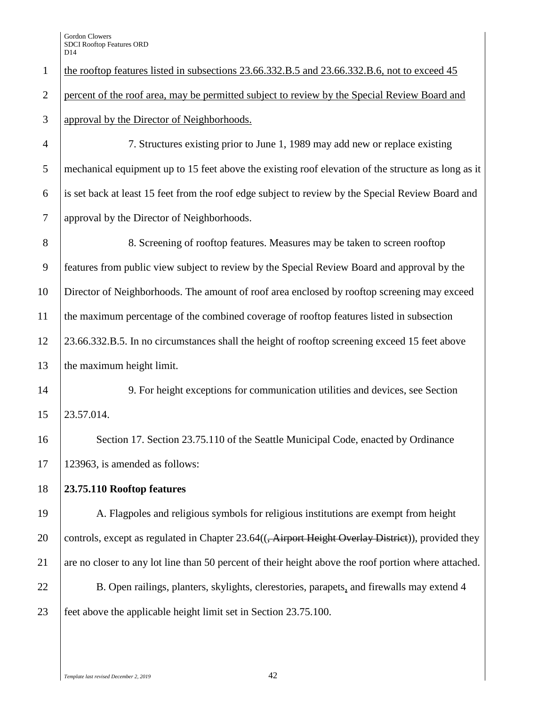Gordon Clowers SDCI Rooftop Features ORD D<sub>14</sub>

 the rooftop features listed in subsections 23.66.332.B.5 and 23.66.332.B.6, not to exceed 45 percent of the roof area, may be permitted subject to review by the Special Review Board and approval by the Director of Neighborhoods. 7. Structures existing prior to June 1, 1989 may add new or replace existing

 mechanical equipment up to 15 feet above the existing roof elevation of the structure as long as it is set back at least 15 feet from the roof edge subject to review by the Special Review Board and approval by the Director of Neighborhoods.

 8. Screening of rooftop features. Measures may be taken to screen rooftop features from public view subject to review by the Special Review Board and approval by the Director of Neighborhoods. The amount of roof area enclosed by rooftop screening may exceed the maximum percentage of the combined coverage of rooftop features listed in subsection 23.66.332.B.5. In no circumstances shall the height of rooftop screening exceed 15 feet above 13 the maximum height limit.

 9. For height exceptions for communication utilities and devices, see Section 23.57.014.

16 Section 17. Section 23.75.110 of the Seattle Municipal Code, enacted by Ordinance 123963, is amended as follows:

**23.75.110 Rooftop features**

 A. Flagpoles and religious symbols for religious institutions are exempt from height 20 controls, except as regulated in Chapter 23.64((<del>, Airport Height Overlay District</del>)), provided they 21 are no closer to any lot line than 50 percent of their height above the roof portion where attached. 22 B. Open railings, planters, skylights, clerestories, parapets, and firewalls may extend 4 feet above the applicable height limit set in Section 23.75.100.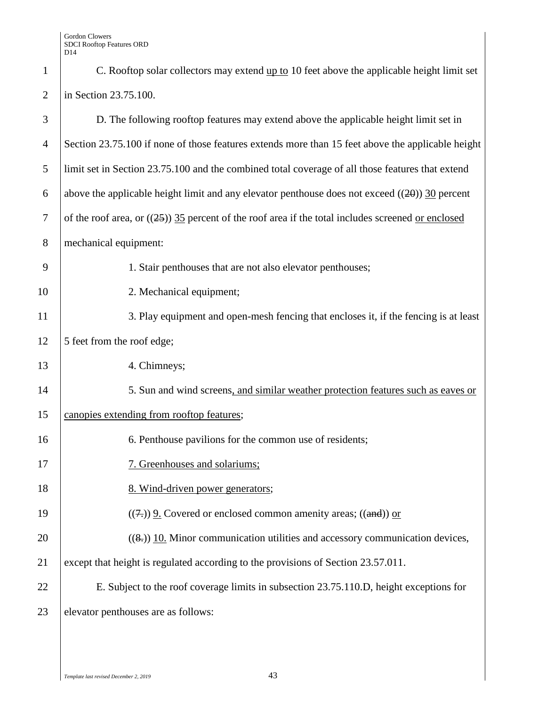| $\mathbf{1}$   | C. Rooftop solar collectors may extend up to 10 feet above the applicable height limit set           |
|----------------|------------------------------------------------------------------------------------------------------|
| $\overline{2}$ | in Section 23.75.100.                                                                                |
| 3              | D. The following rooftop features may extend above the applicable height limit set in                |
| $\overline{4}$ | Section 23.75.100 if none of those features extends more than 15 feet above the applicable height    |
| 5              | limit set in Section 23.75.100 and the combined total coverage of all those features that extend     |
| 6              | above the applicable height limit and any elevator penthouse does not exceed $((20))$ 30 percent     |
| $\tau$         | of the roof area, or $((25))$ 35 percent of the roof area if the total includes screened or enclosed |
| $8\phantom{1}$ | mechanical equipment:                                                                                |
| 9              | 1. Stair penthouses that are not also elevator penthouses;                                           |
| 10             | 2. Mechanical equipment;                                                                             |
| 11             | 3. Play equipment and open-mesh fencing that encloses it, if the fencing is at least                 |
| 12             | 5 feet from the roof edge;                                                                           |
| 13             | 4. Chimneys;                                                                                         |
| 14             | 5. Sun and wind screens, and similar weather protection features such as eaves or                    |
| 15             | canopies extending from rooftop features;                                                            |
| 16             | 6. Penthouse pavilions for the common use of residents;                                              |
| 17             | 7. Greenhouses and solariums;                                                                        |
| 18             | 8. Wind-driven power generators;                                                                     |
| 19             | $((7))$ 9. Covered or enclosed common amenity areas; $((and))$ or                                    |
| 20             | $((8))$ 10. Minor communication utilities and accessory communication devices,                       |
| 21             | except that height is regulated according to the provisions of Section 23.57.011.                    |
| 22             | E. Subject to the roof coverage limits in subsection 23.75.110.D, height exceptions for              |
| 23             | elevator penthouses are as follows:                                                                  |
|                |                                                                                                      |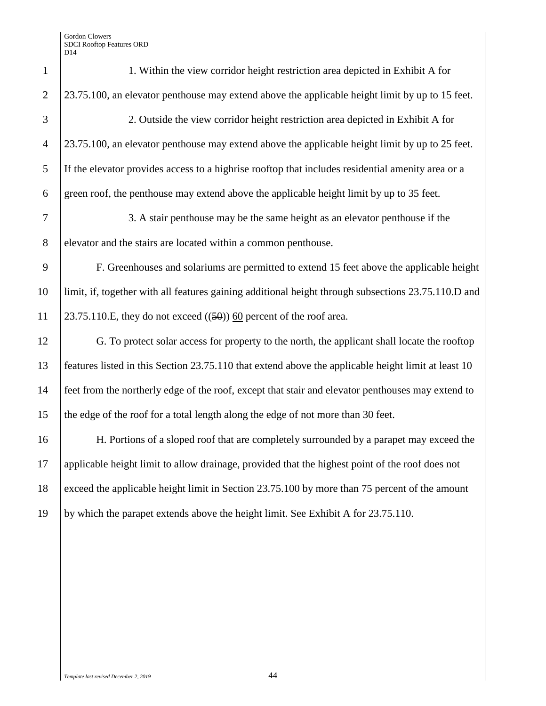| $\mathbf{1}$   | 1. Within the view corridor height restriction area depicted in Exhibit A for                       |
|----------------|-----------------------------------------------------------------------------------------------------|
| $\overline{2}$ | 23.75.100, an elevator penthouse may extend above the applicable height limit by up to 15 feet.     |
| 3              | 2. Outside the view corridor height restriction area depicted in Exhibit A for                      |
| $\overline{4}$ | 23.75.100, an elevator penthouse may extend above the applicable height limit by up to 25 feet.     |
| 5              | If the elevator provides access to a highrise rooftop that includes residential amenity area or a   |
| 6              | green roof, the penthouse may extend above the applicable height limit by up to 35 feet.            |
| $\tau$         | 3. A stair penthouse may be the same height as an elevator penthouse if the                         |
| $8\,$          | elevator and the stairs are located within a common penthouse.                                      |
| 9              | F. Greenhouses and solariums are permitted to extend 15 feet above the applicable height            |
| 10             | limit, if, together with all features gaining additional height through subsections 23.75.110.D and |
| 11             | 23.75.110.E, they do not exceed $((50))$ 60 percent of the roof area.                               |
| 12             | G. To protect solar access for property to the north, the applicant shall locate the rooftop        |
| 13             | features listed in this Section 23.75.110 that extend above the applicable height limit at least 10 |
| 14             | feet from the northerly edge of the roof, except that stair and elevator penthouses may extend to   |
| 15             | the edge of the roof for a total length along the edge of not more than 30 feet.                    |
| 16             | H. Portions of a sloped roof that are completely surrounded by a parapet may exceed the             |
| 17             | applicable height limit to allow drainage, provided that the highest point of the roof does not     |
| 18             | exceed the applicable height limit in Section 23.75.100 by more than 75 percent of the amount       |
| 19             | by which the parapet extends above the height limit. See Exhibit A for 23.75.110.                   |
|                |                                                                                                     |
|                |                                                                                                     |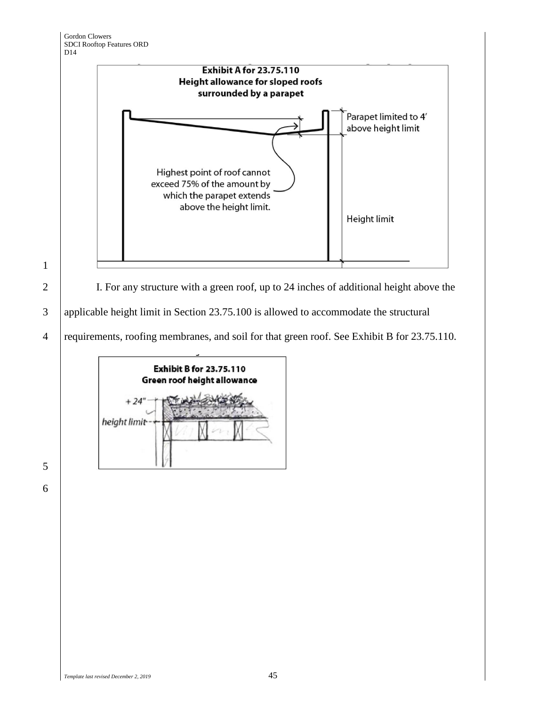